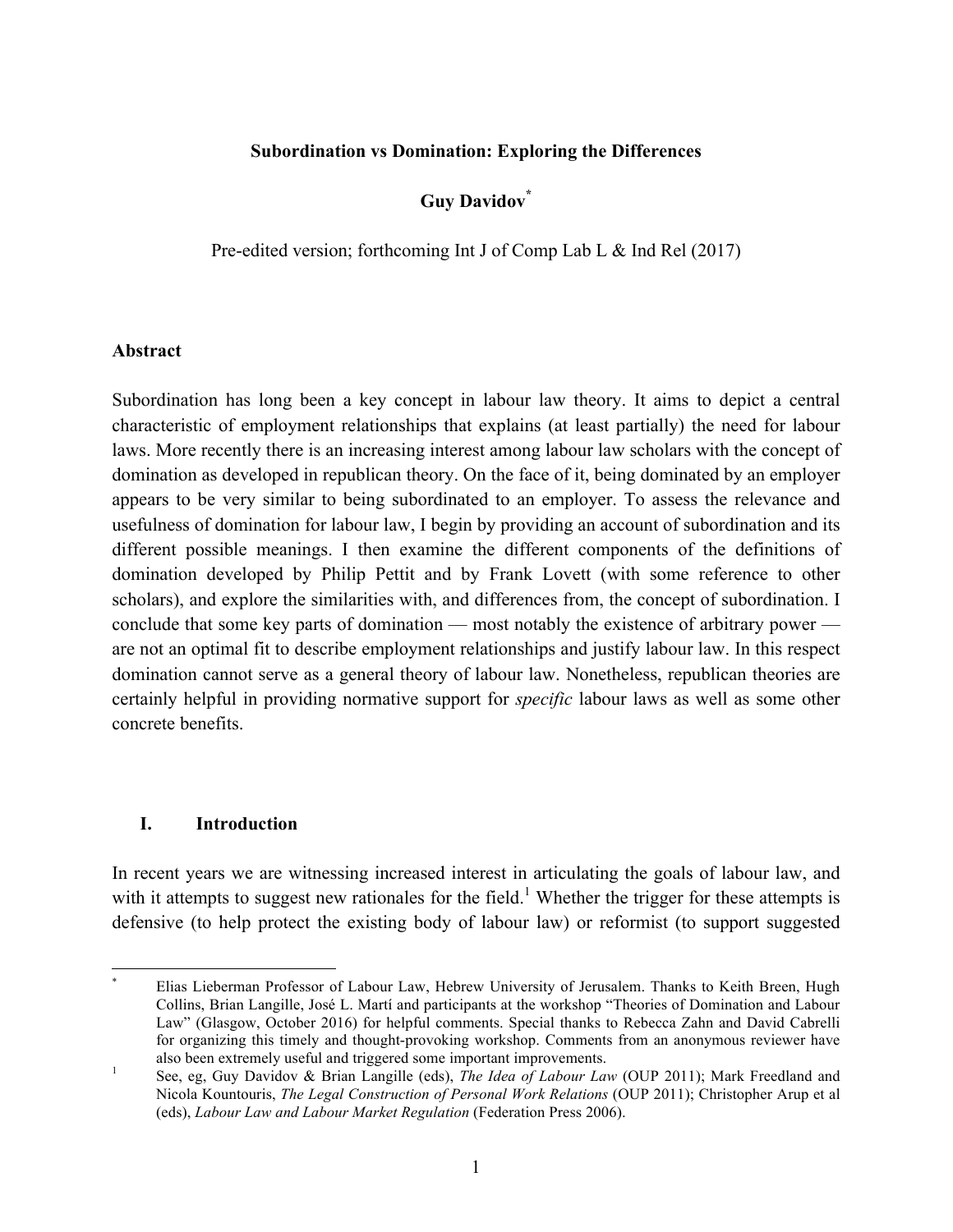### **Subordination vs Domination: Exploring the Differences**

# **Guy Davidov\***

Pre-edited version; forthcoming Int J of Comp Lab L & Ind Rel (2017)

#### **Abstract**

Subordination has long been a key concept in labour law theory. It aims to depict a central characteristic of employment relationships that explains (at least partially) the need for labour laws. More recently there is an increasing interest among labour law scholars with the concept of domination as developed in republican theory. On the face of it, being dominated by an employer appears to be very similar to being subordinated to an employer. To assess the relevance and usefulness of domination for labour law, I begin by providing an account of subordination and its different possible meanings. I then examine the different components of the definitions of domination developed by Philip Pettit and by Frank Lovett (with some reference to other scholars), and explore the similarities with, and differences from, the concept of subordination. I conclude that some key parts of domination — most notably the existence of arbitrary power are not an optimal fit to describe employment relationships and justify labour law. In this respect domination cannot serve as a general theory of labour law. Nonetheless, republican theories are certainly helpful in providing normative support for *specific* labour laws as well as some other concrete benefits.

### **I. Introduction**

In recent years we are witnessing increased interest in articulating the goals of labour law, and with it attempts to suggest new rationales for the field.<sup>1</sup> Whether the trigger for these attempts is defensive (to help protect the existing body of labour law) or reformist (to support suggested

 <sup>\*</sup> Elias Lieberman Professor of Labour Law, Hebrew University of Jerusalem. Thanks to Keith Breen, Hugh Collins, Brian Langille, José L. Martí and participants at the workshop "Theories of Domination and Labour Law" (Glasgow, October 2016) for helpful comments. Special thanks to Rebecca Zahn and David Cabrelli for organizing this timely and thought-provoking workshop. Comments from an anonymous reviewer have also been extremely useful and triggered some important improvements.<br><sup>1</sup> See, eg, Guy Davidov & Brian Langille (eds), *The Idea of Labour Law* (OUP 2011); Mark Freedland and

Nicola Kountouris, *The Legal Construction of Personal Work Relations* (OUP 2011); Christopher Arup et al (eds), *Labour Law and Labour Market Regulation* (Federation Press 2006).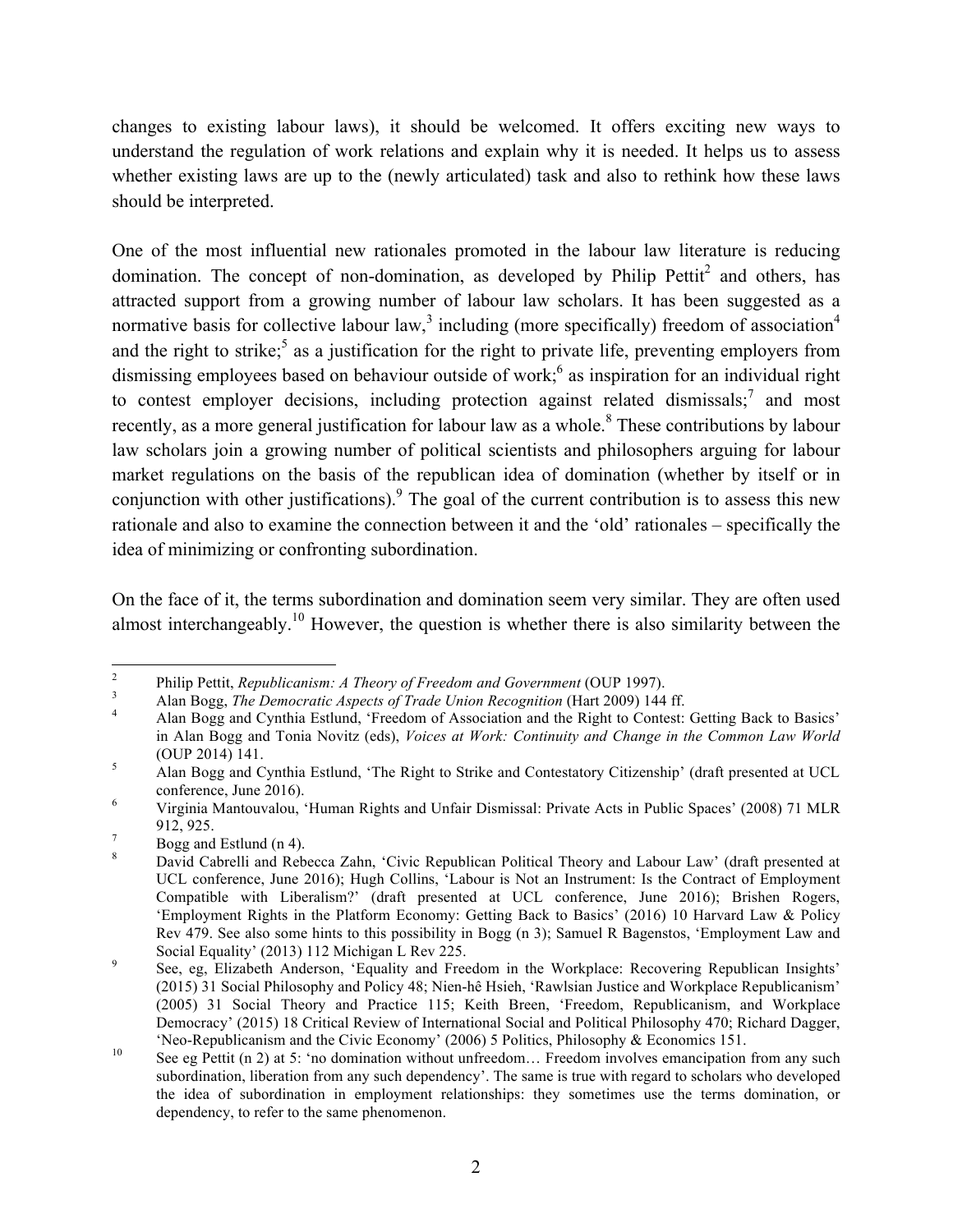changes to existing labour laws), it should be welcomed. It offers exciting new ways to understand the regulation of work relations and explain why it is needed. It helps us to assess whether existing laws are up to the (newly articulated) task and also to rethink how these laws should be interpreted.

One of the most influential new rationales promoted in the labour law literature is reducing domination. The concept of non-domination, as developed by Philip Pettit<sup>2</sup> and others, has attracted support from a growing number of labour law scholars. It has been suggested as a normative basis for collective labour law,<sup>3</sup> including (more specifically) freedom of association<sup>4</sup> and the right to strike;<sup>5</sup> as a justification for the right to private life, preventing employers from dismissing employees based on behaviour outside of work;<sup>6</sup> as inspiration for an individual right to contest employer decisions, including protection against related dismissals;<sup>7</sup> and most recently, as a more general justification for labour law as a whole.<sup>8</sup> These contributions by labour law scholars join a growing number of political scientists and philosophers arguing for labour market regulations on the basis of the republican idea of domination (whether by itself or in conjunction with other justifications). <sup>9</sup> The goal of the current contribution is to assess this new rationale and also to examine the connection between it and the 'old' rationales – specifically the idea of minimizing or confronting subordination.

On the face of it, the terms subordination and domination seem very similar. They are often used almost interchangeably.<sup>10</sup> However, the question is whether there is also similarity between the

<sup>&</sup>lt;sup>2</sup><br>Philip Pettit, *Republicanism: A Theory of Freedom and Government* (OUP 1997).<br>Alan Bogg, *The Democratic Aspects of Trade Union Recognition* (Hart 2009) 144 ff.<br>Alan Bogg and Cynthia Estlund, 'Freedom of Association a

in Alan Bogg and Tonia Novitz (eds), *Voices at Work: Continuity and Change in the Common Law World*  (OUP 2014) 141.<br>  $\frac{5}{\text{6}}$  Alan Bogg and Cynthia Estlund, 'The Right to Strike and Contestatory Citizenship' (draft presented at UCL

conference, June 2016). <sup>6</sup> Virginia Mantouvalou, 'Human Rights and Unfair Dismissal: Private Acts in Public Spaces' (2008) 71 MLR

<sup>912, 925.&</sup>lt;br>
<sup>7</sup> Bogg and Estlund (n 4).<br>
<sup>8</sup> David Cabrelli and Rebecca Zahn, 'Civic Republican Political Theory and Labour Law' (draft presented at

UCL conference, June 2016); Hugh Collins, 'Labour is Not an Instrument: Is the Contract of Employment Compatible with Liberalism?' (draft presented at UCL conference, June 2016); Brishen Rogers, 'Employment Rights in the Platform Economy: Getting Back to Basics' (2016) 10 Harvard Law & Policy Rev 479. See also some hints to this possibility in Bogg (n 3); Samuel R Bagenstos, 'Employment Law and

Social Equality' (2013) 112 Michigan L Rev 225.<br>
9 See, eg, Elizabeth Anderson, 'Equality and Freedom in the Workplace: Recovering Republican Insights' (2015) 31 Social Philosophy and Policy 48; Nien-hê Hsieh, 'Rawlsian Justice and Workplace Republicanism' (2005) 31 Social Theory and Practice 115; Keith Breen, 'Freedom, Republicanism, and Workplace Democracy' (2015) 18 Critical Review of International Social and Political Philosophy 470; Richard Dagger,

<sup>&#</sup>x27;Neo-Republicanism and the Civic Economy' (2006) 5 Politics, Philosophy & Economics 151.<br><sup>10</sup> See eg Pettit (n 2) at 5: 'no domination without unfreedom... Freedom involves emancipation from any such subordination, liberation from any such dependency'. The same is true with regard to scholars who developed the idea of subordination in employment relationships: they sometimes use the terms domination, or dependency, to refer to the same phenomenon.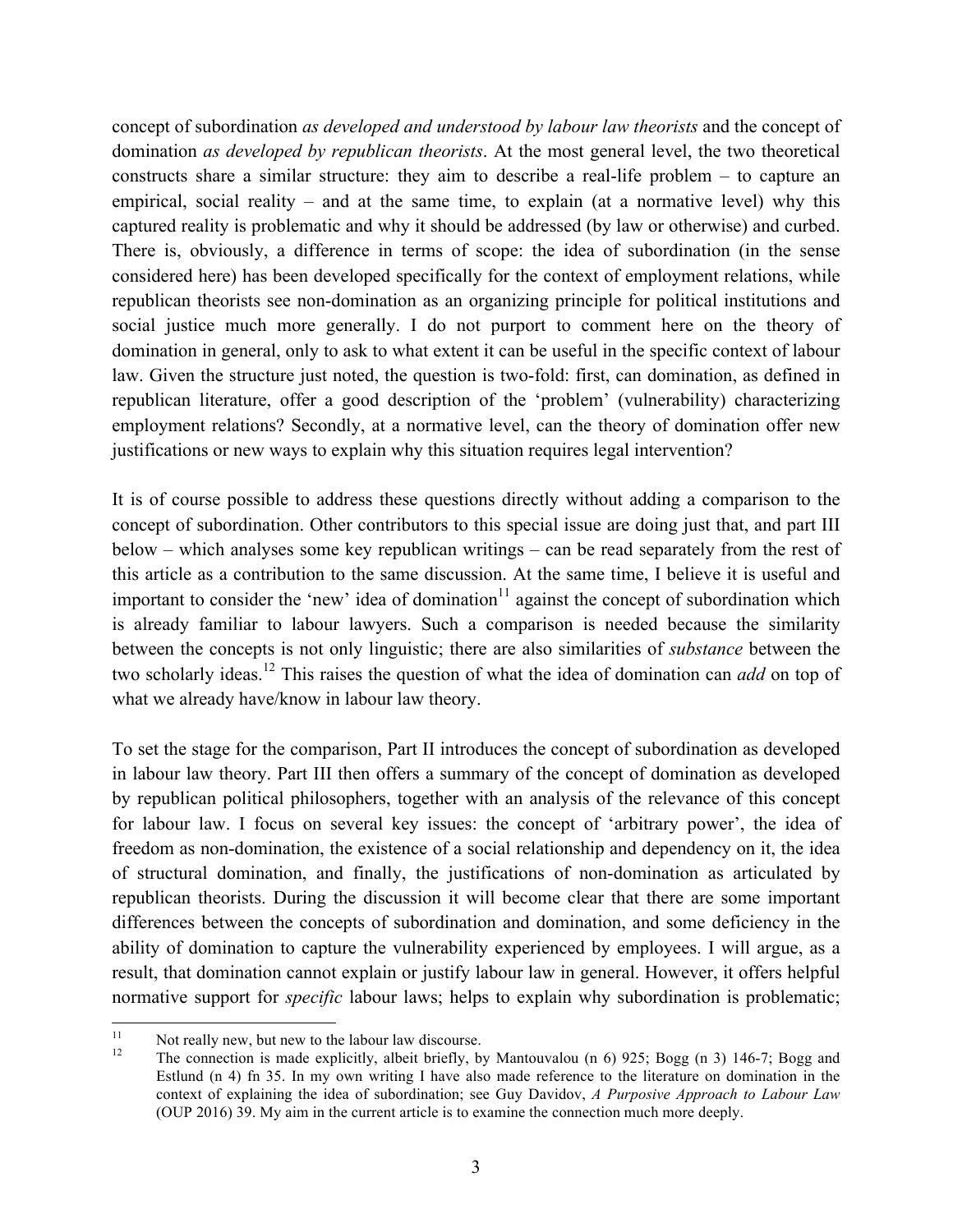concept of subordination *as developed and understood by labour law theorists* and the concept of domination *as developed by republican theorists*. At the most general level, the two theoretical constructs share a similar structure: they aim to describe a real-life problem – to capture an empirical, social reality – and at the same time, to explain (at a normative level) why this captured reality is problematic and why it should be addressed (by law or otherwise) and curbed. There is, obviously, a difference in terms of scope: the idea of subordination (in the sense considered here) has been developed specifically for the context of employment relations, while republican theorists see non-domination as an organizing principle for political institutions and social justice much more generally. I do not purport to comment here on the theory of domination in general, only to ask to what extent it can be useful in the specific context of labour law. Given the structure just noted, the question is two-fold: first, can domination, as defined in republican literature, offer a good description of the 'problem' (vulnerability) characterizing employment relations? Secondly, at a normative level, can the theory of domination offer new justifications or new ways to explain why this situation requires legal intervention?

It is of course possible to address these questions directly without adding a comparison to the concept of subordination. Other contributors to this special issue are doing just that, and part III below – which analyses some key republican writings – can be read separately from the rest of this article as a contribution to the same discussion. At the same time, I believe it is useful and important to consider the 'new' idea of domination<sup>11</sup> against the concept of subordination which is already familiar to labour lawyers. Such a comparison is needed because the similarity between the concepts is not only linguistic; there are also similarities of *substance* between the two scholarly ideas. <sup>12</sup> This raises the question of what the idea of domination can *add* on top of what we already have/know in labour law theory.

To set the stage for the comparison, Part II introduces the concept of subordination as developed in labour law theory. Part III then offers a summary of the concept of domination as developed by republican political philosophers, together with an analysis of the relevance of this concept for labour law. I focus on several key issues: the concept of 'arbitrary power', the idea of freedom as non-domination, the existence of a social relationship and dependency on it, the idea of structural domination, and finally, the justifications of non-domination as articulated by republican theorists. During the discussion it will become clear that there are some important differences between the concepts of subordination and domination, and some deficiency in the ability of domination to capture the vulnerability experienced by employees. I will argue, as a result, that domination cannot explain or justify labour law in general. However, it offers helpful normative support for *specific* labour laws; helps to explain why subordination is problematic;

<sup>&</sup>lt;sup>11</sup> Not really new, but new to the labour law discourse.<br><sup>12</sup> The connection is made explicitly, albeit briefly, by Mantouvalou (n 6) 925; Bogg (n 3) 146-7; Bogg and Estlund (n 4) fn 35. In my own writing I have also made reference to the literature on domination in the context of explaining the idea of subordination; see Guy Davidov, *A Purposive Approach to Labour Law* (OUP 2016) 39. My aim in the current article is to examine the connection much more deeply.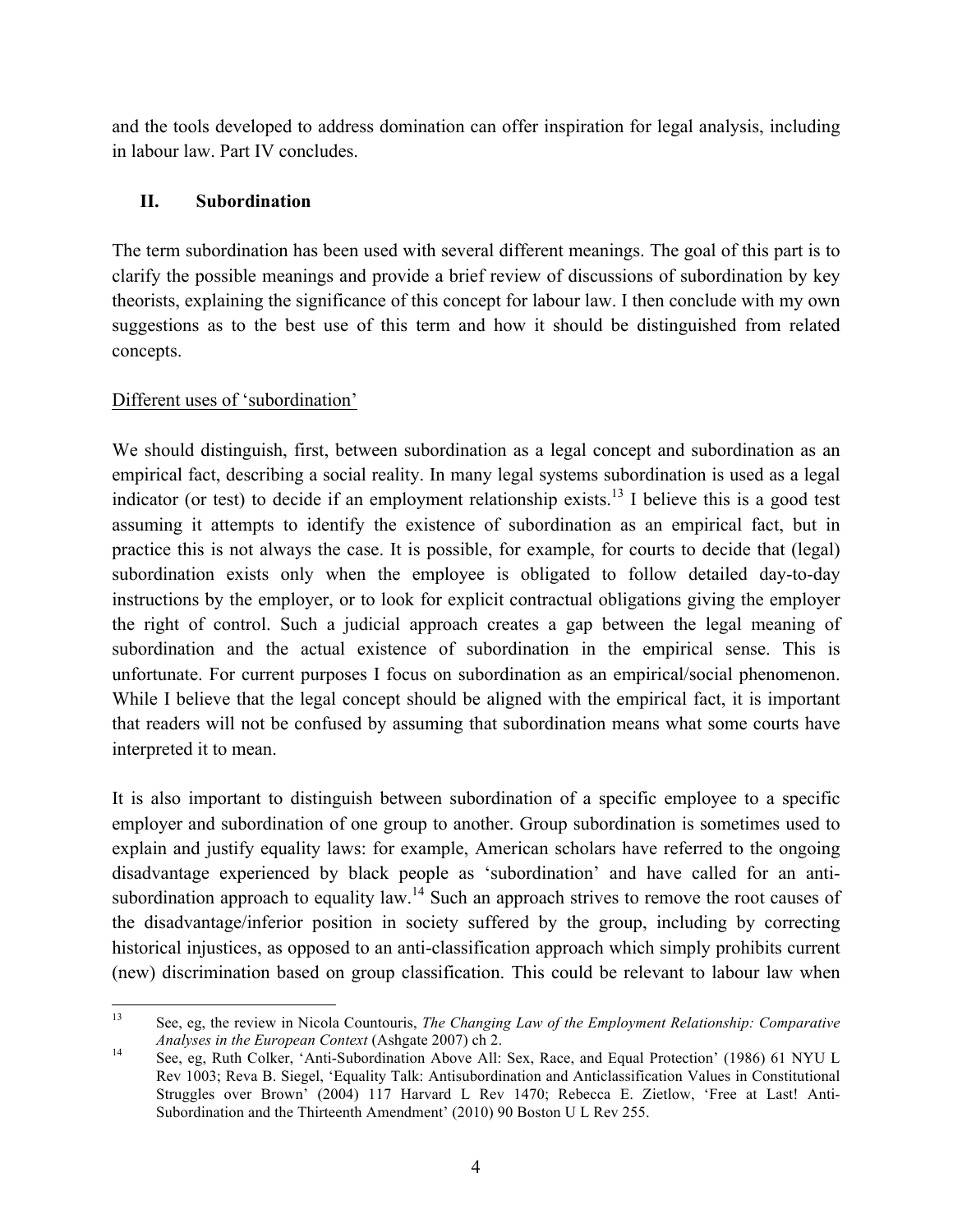and the tools developed to address domination can offer inspiration for legal analysis, including in labour law. Part IV concludes.

# **II. Subordination**

The term subordination has been used with several different meanings. The goal of this part is to clarify the possible meanings and provide a brief review of discussions of subordination by key theorists, explaining the significance of this concept for labour law. I then conclude with my own suggestions as to the best use of this term and how it should be distinguished from related concepts.

# Different uses of 'subordination'

We should distinguish, first, between subordination as a legal concept and subordination as an empirical fact, describing a social reality. In many legal systems subordination is used as a legal indicator (or test) to decide if an employment relationship exists.<sup>13</sup> I believe this is a good test assuming it attempts to identify the existence of subordination as an empirical fact, but in practice this is not always the case. It is possible, for example, for courts to decide that (legal) subordination exists only when the employee is obligated to follow detailed day-to-day instructions by the employer, or to look for explicit contractual obligations giving the employer the right of control. Such a judicial approach creates a gap between the legal meaning of subordination and the actual existence of subordination in the empirical sense. This is unfortunate. For current purposes I focus on subordination as an empirical/social phenomenon. While I believe that the legal concept should be aligned with the empirical fact, it is important that readers will not be confused by assuming that subordination means what some courts have interpreted it to mean.

It is also important to distinguish between subordination of a specific employee to a specific employer and subordination of one group to another. Group subordination is sometimes used to explain and justify equality laws: for example, American scholars have referred to the ongoing disadvantage experienced by black people as 'subordination' and have called for an antisubordination approach to equality law.<sup>14</sup> Such an approach strives to remove the root causes of the disadvantage/inferior position in society suffered by the group, including by correcting historical injustices, as opposed to an anti-classification approach which simply prohibits current (new) discrimination based on group classification. This could be relevant to labour law when

 <sup>13</sup> See, eg, the review in Nicola Countouris, *The Changing Law of the Employment Relationship: Comparative Analyses in the European Context* (Ashgate 2007) ch 2.<br>
See, eg, Ruth Colker, 'Anti-Subordination Above All: Sex, Race, and Equal Protection' (1986) 61 NYU L

Rev 1003; Reva B. Siegel, 'Equality Talk: Antisubordination and Anticlassification Values in Constitutional Struggles over Brown' (2004) 117 Harvard L Rev 1470; Rebecca E. Zietlow, 'Free at Last! Anti-Subordination and the Thirteenth Amendment' (2010) 90 Boston U L Rev 255.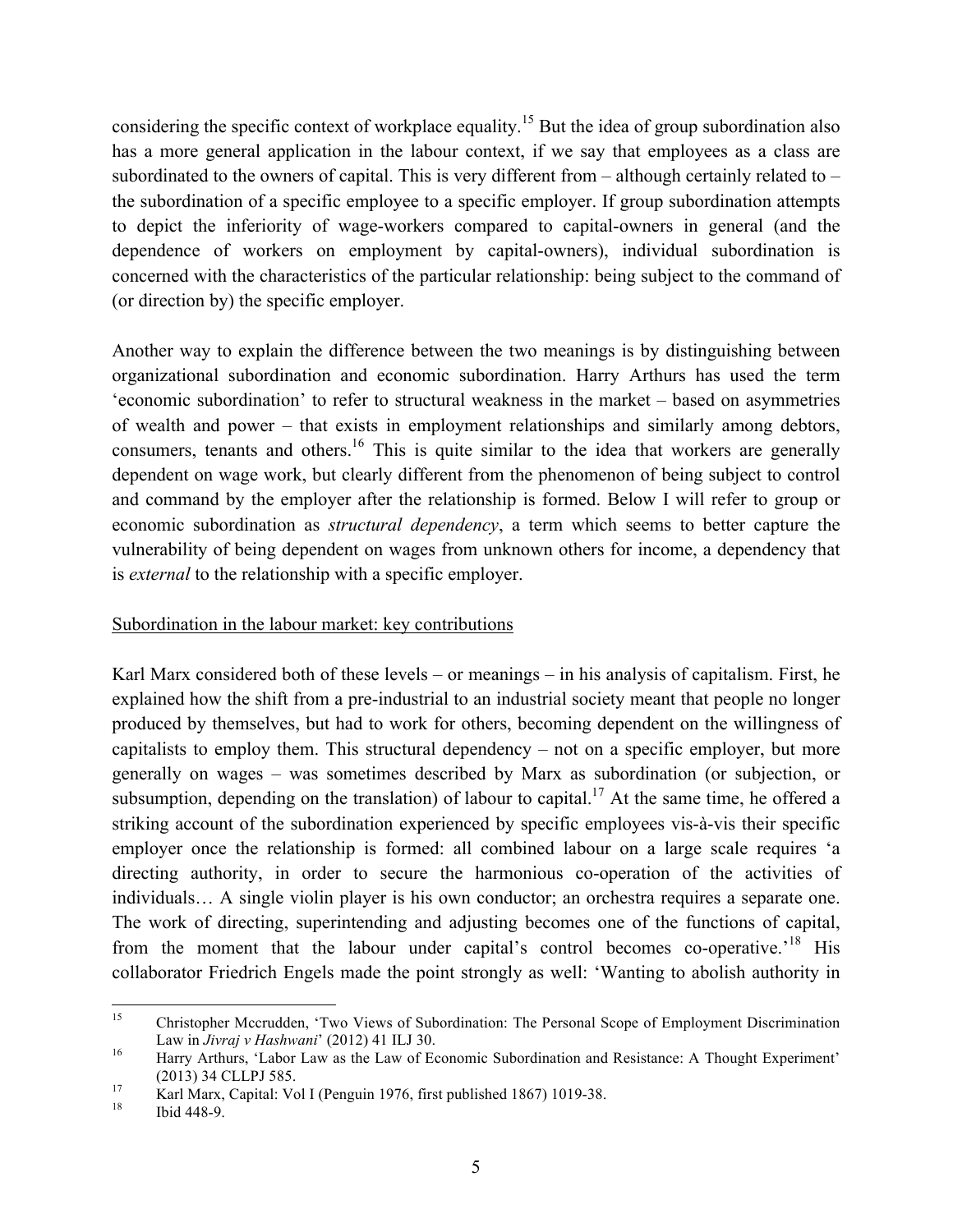considering the specific context of workplace equality.<sup>15</sup> But the idea of group subordination also has a more general application in the labour context, if we say that employees as a class are subordinated to the owners of capital. This is very different from – although certainly related to – the subordination of a specific employee to a specific employer. If group subordination attempts to depict the inferiority of wage-workers compared to capital-owners in general (and the dependence of workers on employment by capital-owners), individual subordination is concerned with the characteristics of the particular relationship: being subject to the command of (or direction by) the specific employer.

Another way to explain the difference between the two meanings is by distinguishing between organizational subordination and economic subordination. Harry Arthurs has used the term 'economic subordination' to refer to structural weakness in the market – based on asymmetries of wealth and power – that exists in employment relationships and similarly among debtors, consumers, tenants and others.<sup>16</sup> This is quite similar to the idea that workers are generally dependent on wage work, but clearly different from the phenomenon of being subject to control and command by the employer after the relationship is formed. Below I will refer to group or economic subordination as *structural dependency*, a term which seems to better capture the vulnerability of being dependent on wages from unknown others for income, a dependency that is *external* to the relationship with a specific employer.

### Subordination in the labour market: key contributions

Karl Marx considered both of these levels – or meanings – in his analysis of capitalism. First, he explained how the shift from a pre-industrial to an industrial society meant that people no longer produced by themselves, but had to work for others, becoming dependent on the willingness of capitalists to employ them. This structural dependency – not on a specific employer, but more generally on wages – was sometimes described by Marx as subordination (or subjection, or subsumption, depending on the translation) of labour to capital.<sup>17</sup> At the same time, he offered a striking account of the subordination experienced by specific employees vis-à-vis their specific employer once the relationship is formed: all combined labour on a large scale requires 'a directing authority, in order to secure the harmonious co-operation of the activities of individuals… A single violin player is his own conductor; an orchestra requires a separate one. The work of directing, superintending and adjusting becomes one of the functions of capital, from the moment that the labour under capital's control becomes co-operative.<sup>18</sup> His collaborator Friedrich Engels made the point strongly as well: 'Wanting to abolish authority in

 <sup>15</sup> Christopher Mccrudden, 'Two Views of Subordination: The Personal Scope of Employment Discrimination Law in *Jivraj v Hashwani'* (2012) 41 ILJ 30.<br><sup>16</sup> Harry Arthurs, 'Labor Law as the Law of Economic Subordination and Resistance: A Thought Experiment'

<sup>(2013) 34</sup> CLLPJ 585.<br>
17 Karl Marx, Capital: Vol I (Penguin 1976, first published 1867) 1019-38.<br>
18 Ibid 448-9.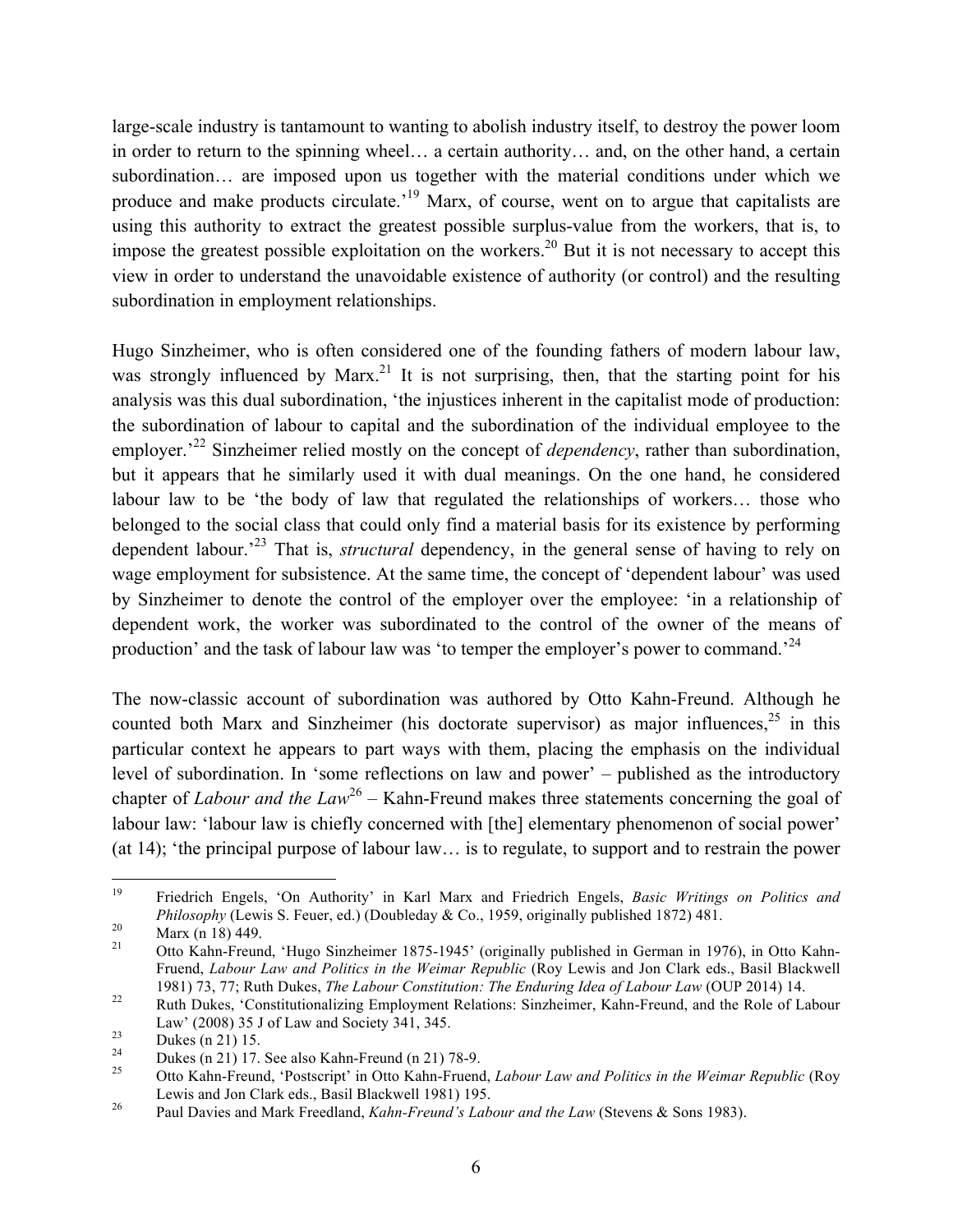large-scale industry is tantamount to wanting to abolish industry itself, to destroy the power loom in order to return to the spinning wheel… a certain authority… and, on the other hand, a certain subordination… are imposed upon us together with the material conditions under which we produce and make products circulate.<sup>19</sup> Marx, of course, went on to argue that capitalists are using this authority to extract the greatest possible surplus-value from the workers, that is, to impose the greatest possible exploitation on the workers.<sup>20</sup> But it is not necessary to accept this view in order to understand the unavoidable existence of authority (or control) and the resulting subordination in employment relationships.

Hugo Sinzheimer, who is often considered one of the founding fathers of modern labour law, was strongly influenced by Marx.<sup>21</sup> It is not surprising, then, that the starting point for his analysis was this dual subordination, 'the injustices inherent in the capitalist mode of production: the subordination of labour to capital and the subordination of the individual employee to the employer.<sup>22</sup> Sinzheimer relied mostly on the concept of *dependency*, rather than subordination, but it appears that he similarly used it with dual meanings. On the one hand, he considered labour law to be 'the body of law that regulated the relationships of workers… those who belonged to the social class that could only find a material basis for its existence by performing dependent labour.'23 That is, *structural* dependency, in the general sense of having to rely on wage employment for subsistence. At the same time, the concept of 'dependent labour' was used by Sinzheimer to denote the control of the employer over the employee: 'in a relationship of dependent work, the worker was subordinated to the control of the owner of the means of production' and the task of labour law was 'to temper the employer's power to command.<sup>24</sup>

The now-classic account of subordination was authored by Otto Kahn-Freund. Although he counted both Marx and Sinzheimer (his doctorate supervisor) as major influences, $25$  in this particular context he appears to part ways with them, placing the emphasis on the individual level of subordination. In 'some reflections on law and power' – published as the introductory chapter of *Labour and the Law*<sup>26</sup> – Kahn-Freund makes three statements concerning the goal of labour law: 'labour law is chiefly concerned with [the] elementary phenomenon of social power' (at 14); 'the principal purpose of labour law… is to regulate, to support and to restrain the power

 <sup>19</sup> Friedrich Engels, 'On Authority' in Karl Marx and Friedrich Engels, *Basic Writings on Politics and Philosophy* (Lewis S. Feuer, ed.) (Doubleday & Co., 1959, originally published 1872) 481.<br>
<sup>20</sup> Marx (n 18) 449.<br>
21 Otto Kahn-Freund, 'Hugo Sinzheimer 1875-1945' (originally published in German in 1976), in Otto Kahn-

Fruend, *Labour Law and Politics in the Weimar Republic* (Roy Lewis and Jon Clark eds., Basil Blackwell 1981) 73, 77; Ruth Dukes, *The Labour Constitution: The Enduring Idea of Labour Law* (OUP 2014) 14.<br><sup>22</sup> Ruth Dukes, 'Constitutionalizing Employment Relations: Sinzheimer, Kahn-Freund, and the Role of Labour

Law' (2008) 35 J of Law and Society 341, 345.<br>Dukes (n 21) 15.<br>Dukes (n 21) 17. See also Kahn-Freund (n 21) 78-9.<br>Otto Kahn-Freund, 'Postscript' in Otto Kahn-Fruend, *Labour Law and Politics in the Weimar Republic* (Roy

Lewis and Jon Clark eds., Basil Blackwell 1981) 195. <sup>26</sup> Paul Davies and Mark Freedland, *Kahn-Freund's Labour and the Law* (Stevens & Sons 1983).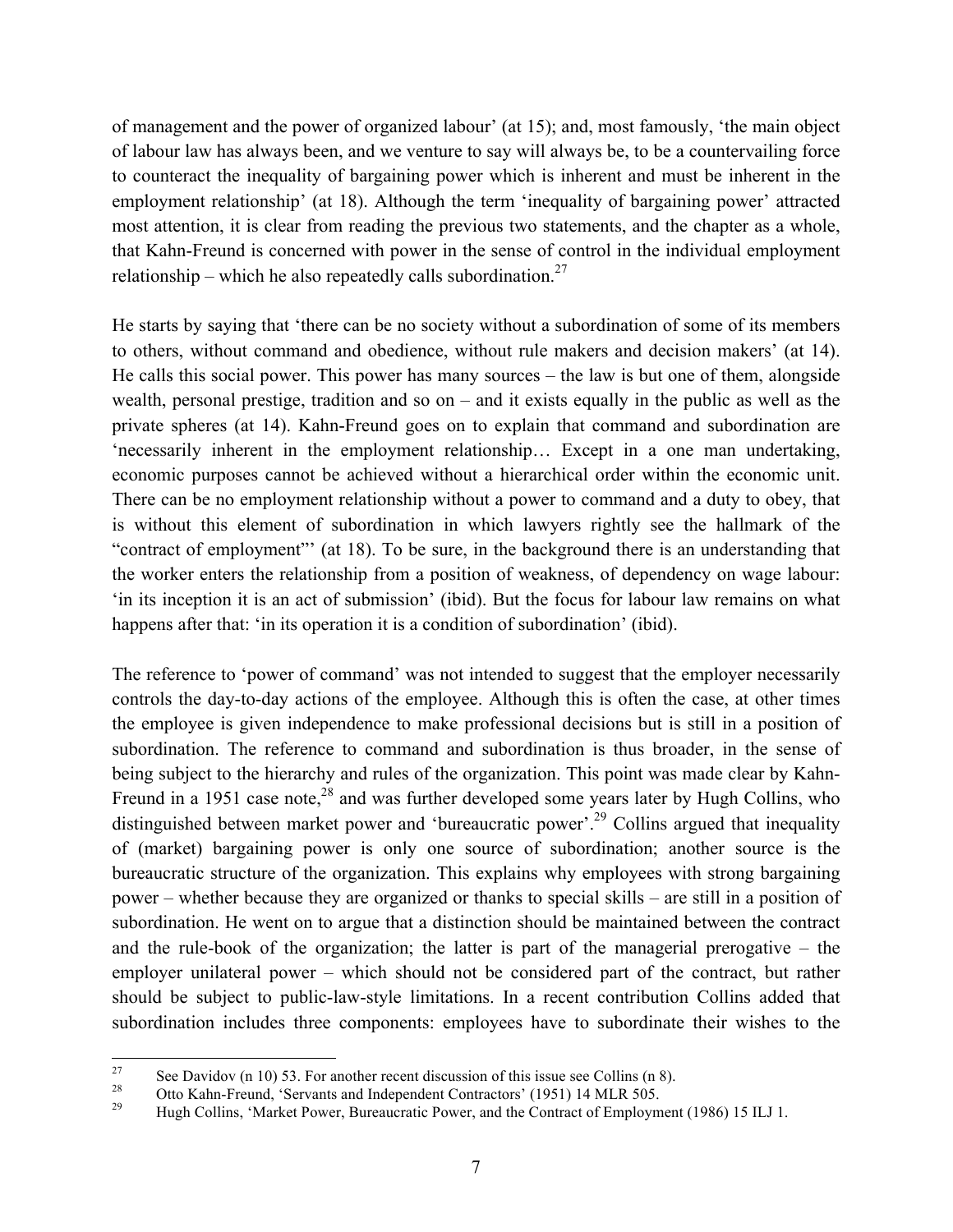of management and the power of organized labour' (at 15); and, most famously, 'the main object of labour law has always been, and we venture to say will always be, to be a countervailing force to counteract the inequality of bargaining power which is inherent and must be inherent in the employment relationship' (at 18). Although the term 'inequality of bargaining power' attracted most attention, it is clear from reading the previous two statements, and the chapter as a whole, that Kahn-Freund is concerned with power in the sense of control in the individual employment relationship – which he also repeatedly calls subordination.<sup>27</sup>

He starts by saying that 'there can be no society without a subordination of some of its members to others, without command and obedience, without rule makers and decision makers' (at 14). He calls this social power. This power has many sources – the law is but one of them, alongside wealth, personal prestige, tradition and so on – and it exists equally in the public as well as the private spheres (at 14). Kahn-Freund goes on to explain that command and subordination are 'necessarily inherent in the employment relationship… Except in a one man undertaking, economic purposes cannot be achieved without a hierarchical order within the economic unit. There can be no employment relationship without a power to command and a duty to obey, that is without this element of subordination in which lawyers rightly see the hallmark of the "contract of employment"' (at 18). To be sure, in the background there is an understanding that the worker enters the relationship from a position of weakness, of dependency on wage labour: 'in its inception it is an act of submission' (ibid). But the focus for labour law remains on what happens after that: 'in its operation it is a condition of subordination' (ibid).

The reference to 'power of command' was not intended to suggest that the employer necessarily controls the day-to-day actions of the employee. Although this is often the case, at other times the employee is given independence to make professional decisions but is still in a position of subordination. The reference to command and subordination is thus broader, in the sense of being subject to the hierarchy and rules of the organization. This point was made clear by Kahn-Freund in a 1951 case note, $^{28}$  and was further developed some years later by Hugh Collins, who distinguished between market power and 'bureaucratic power'.<sup>29</sup> Collins argued that inequality of (market) bargaining power is only one source of subordination; another source is the bureaucratic structure of the organization. This explains why employees with strong bargaining power – whether because they are organized or thanks to special skills – are still in a position of subordination. He went on to argue that a distinction should be maintained between the contract and the rule-book of the organization; the latter is part of the managerial prerogative – the employer unilateral power – which should not be considered part of the contract, but rather should be subject to public-law-style limitations. In a recent contribution Collins added that subordination includes three components: employees have to subordinate their wishes to the

<sup>&</sup>lt;sup>27</sup> See Davidov (n 10) 53. For another recent discussion of this issue see Collins (n 8).<br>
28 Otto Kahn-Freund, 'Servants and Independent Contractors' (1951) 14 MLR 505.<br>
29 Hugh Collins, 'Market Power, Bureaucratic Powe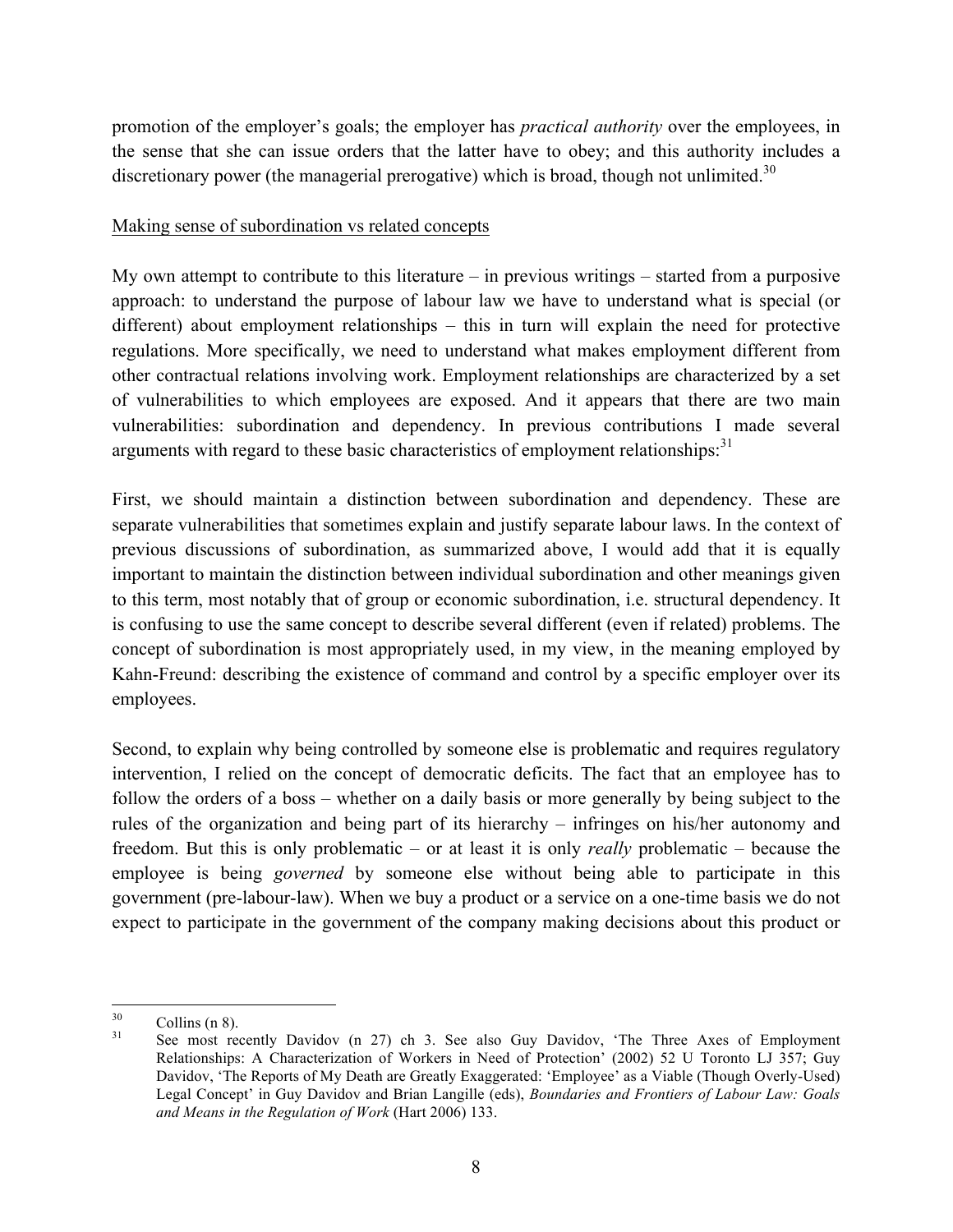promotion of the employer's goals; the employer has *practical authority* over the employees, in the sense that she can issue orders that the latter have to obey; and this authority includes a discretionary power (the managerial prerogative) which is broad, though not unlimited. $30$ 

#### Making sense of subordination vs related concepts

My own attempt to contribute to this literature – in previous writings – started from a purposive approach: to understand the purpose of labour law we have to understand what is special (or different) about employment relationships – this in turn will explain the need for protective regulations. More specifically, we need to understand what makes employment different from other contractual relations involving work. Employment relationships are characterized by a set of vulnerabilities to which employees are exposed. And it appears that there are two main vulnerabilities: subordination and dependency. In previous contributions I made several arguments with regard to these basic characteristics of employment relationships:<sup>31</sup>

First, we should maintain a distinction between subordination and dependency. These are separate vulnerabilities that sometimes explain and justify separate labour laws. In the context of previous discussions of subordination, as summarized above, I would add that it is equally important to maintain the distinction between individual subordination and other meanings given to this term, most notably that of group or economic subordination, i.e. structural dependency. It is confusing to use the same concept to describe several different (even if related) problems. The concept of subordination is most appropriately used, in my view, in the meaning employed by Kahn-Freund: describing the existence of command and control by a specific employer over its employees.

Second, to explain why being controlled by someone else is problematic and requires regulatory intervention, I relied on the concept of democratic deficits. The fact that an employee has to follow the orders of a boss – whether on a daily basis or more generally by being subject to the rules of the organization and being part of its hierarchy – infringes on his/her autonomy and freedom. But this is only problematic – or at least it is only *really* problematic – because the employee is being *governed* by someone else without being able to participate in this government (pre-labour-law). When we buy a product or a service on a one-time basis we do not expect to participate in the government of the company making decisions about this product or

 $30$  Collins (n 8).<br><sup>31</sup> See most recently Davidov (n 27) ch 3. See also Guy Davidov, 'The Three Axes of Employment Relationships: A Characterization of Workers in Need of Protection' (2002) 52 U Toronto LJ 357; Guy Davidov, 'The Reports of My Death are Greatly Exaggerated: 'Employee' as a Viable (Though Overly-Used) Legal Concept' in Guy Davidov and Brian Langille (eds), *Boundaries and Frontiers of Labour Law: Goals and Means in the Regulation of Work* (Hart 2006) 133.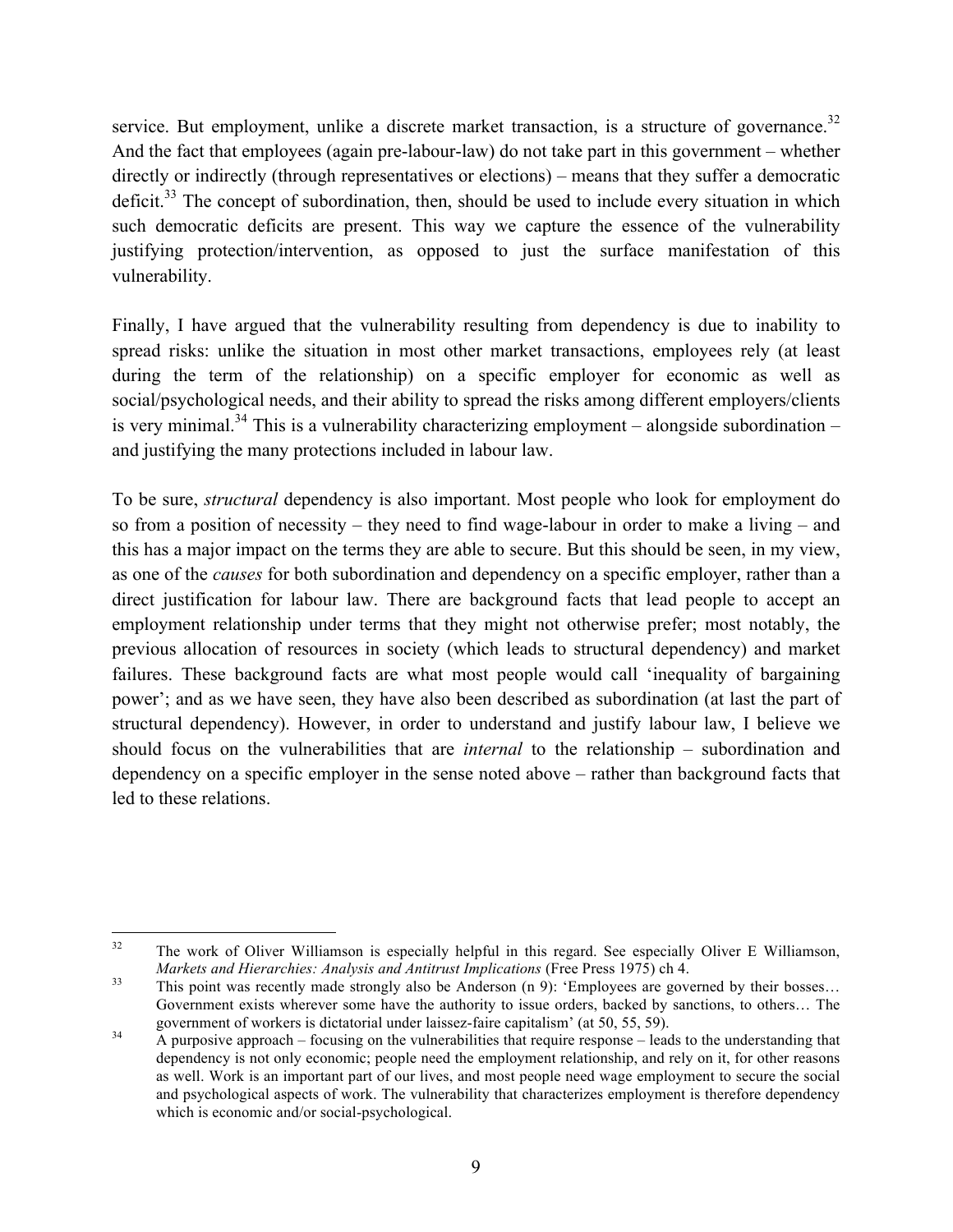service. But employment, unlike a discrete market transaction, is a structure of governance.<sup>32</sup> And the fact that employees (again pre-labour-law) do not take part in this government – whether directly or indirectly (through representatives or elections) – means that they suffer a democratic deficit. $33$  The concept of subordination, then, should be used to include every situation in which such democratic deficits are present. This way we capture the essence of the vulnerability justifying protection/intervention, as opposed to just the surface manifestation of this vulnerability.

Finally, I have argued that the vulnerability resulting from dependency is due to inability to spread risks: unlike the situation in most other market transactions, employees rely (at least during the term of the relationship) on a specific employer for economic as well as social/psychological needs, and their ability to spread the risks among different employers/clients is very minimal.<sup>34</sup> This is a vulnerability characterizing employment – alongside subordination – and justifying the many protections included in labour law.

To be sure, *structural* dependency is also important. Most people who look for employment do so from a position of necessity – they need to find wage-labour in order to make a living – and this has a major impact on the terms they are able to secure. But this should be seen, in my view, as one of the *causes* for both subordination and dependency on a specific employer, rather than a direct justification for labour law. There are background facts that lead people to accept an employment relationship under terms that they might not otherwise prefer; most notably, the previous allocation of resources in society (which leads to structural dependency) and market failures. These background facts are what most people would call 'inequality of bargaining power'; and as we have seen, they have also been described as subordination (at last the part of structural dependency). However, in order to understand and justify labour law, I believe we should focus on the vulnerabilities that are *internal* to the relationship – subordination and dependency on a specific employer in the sense noted above – rather than background facts that led to these relations.

<sup>&</sup>lt;sup>32</sup> The work of Oliver Williamson is especially helpful in this regard. See especially Oliver E Williamson, *Markets and Hierarchies: Analysis and Antitrust Implications* (Free Press 1975) ch 4.<br><sup>33</sup> This point was recently made strongly also be Anderson (n 9): 'Employees are governed by their bosses...

Government exists wherever some have the authority to issue orders, backed by sanctions, to others… The government of workers is dictatorial under laissez-faire capitalism' (at 50, 55, 59).<br> $\mu$  A purposive approach – focusing on the vulnerabilities that require response – leads to the understanding that

dependency is not only economic; people need the employment relationship, and rely on it, for other reasons as well. Work is an important part of our lives, and most people need wage employment to secure the social and psychological aspects of work. The vulnerability that characterizes employment is therefore dependency which is economic and/or social-psychological.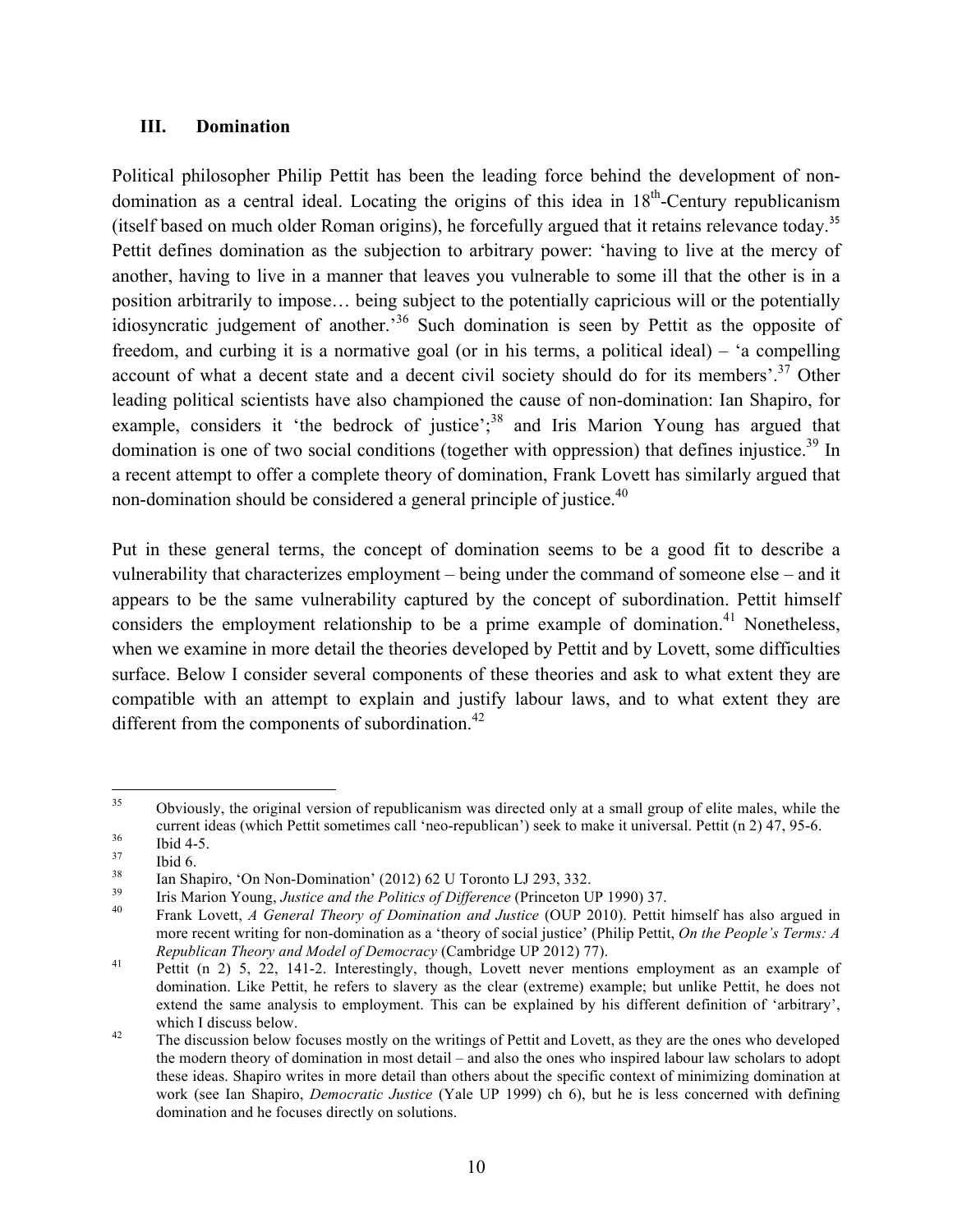### **III. Domination**

Political philosopher Philip Pettit has been the leading force behind the development of nondomination as a central ideal. Locating the origins of this idea in  $18<sup>th</sup>$ -Century republicanism (itself based on much older Roman origins), he forcefully argued that it retains relevance today.<sup>35</sup> Pettit defines domination as the subjection to arbitrary power: 'having to live at the mercy of another, having to live in a manner that leaves you vulnerable to some ill that the other is in a position arbitrarily to impose… being subject to the potentially capricious will or the potentially idiosyncratic judgement of another.'<sup>36</sup> Such domination is seen by Pettit as the opposite of freedom, and curbing it is a normative goal (or in his terms, a political ideal) – 'a compelling account of what a decent state and a decent civil society should do for its members'.<sup>37</sup> Other leading political scientists have also championed the cause of non-domination: Ian Shapiro, for example, considers it 'the bedrock of justice';<sup>38</sup> and Iris Marion Young has argued that domination is one of two social conditions (together with oppression) that defines injustice.<sup>39</sup> In a recent attempt to offer a complete theory of domination, Frank Lovett has similarly argued that non-domination should be considered a general principle of justice. $40$ 

Put in these general terms, the concept of domination seems to be a good fit to describe a vulnerability that characterizes employment – being under the command of someone else – and it appears to be the same vulnerability captured by the concept of subordination. Pettit himself considers the employment relationship to be a prime example of domination.<sup>41</sup> Nonetheless, when we examine in more detail the theories developed by Pettit and by Lovett, some difficulties surface. Below I consider several components of these theories and ask to what extent they are compatible with an attempt to explain and justify labour laws, and to what extent they are different from the components of subordination.<sup>42</sup>

<sup>&</sup>lt;sup>35</sup> Obviously, the original version of republicanism was directed only at a small group of elite males, while the 23<br>
24 Current ideas (which Pettit sometimes call 'neo-republican') seek to make it universal. Pettit (n 2) 47, 95-6.<br>
25 Ibid 4-5.<br>
26 Ibid 6.<br>
26 In Shapiro, 'On Non-Domination' (2012) 62 U Toronto LJ 293, 332.<br>
29 Iris

more recent writing for non-domination as a 'theory of social justice' (Philip Pettit, *On the People's Terms: A Republican Theory and Model of Democracy* (Cambridge UP 2012) 77).<br><sup>41</sup> Pettit (n 2) 5, 22, 141-2. Interestingly, though, Lovett never mentions employment as an example of

domination. Like Pettit, he refers to slavery as the clear (extreme) example; but unlike Pettit, he does not extend the same analysis to employment. This can be explained by his different definition of 'arbitrary', which I discuss below.<br><sup>42</sup> The discussion below focuses mostly on the writings of Pettit and Lovett, as they are the ones who developed

the modern theory of domination in most detail – and also the ones who inspired labour law scholars to adopt these ideas. Shapiro writes in more detail than others about the specific context of minimizing domination at work (see Ian Shapiro, *Democratic Justice* (Yale UP 1999) ch 6), but he is less concerned with defining domination and he focuses directly on solutions.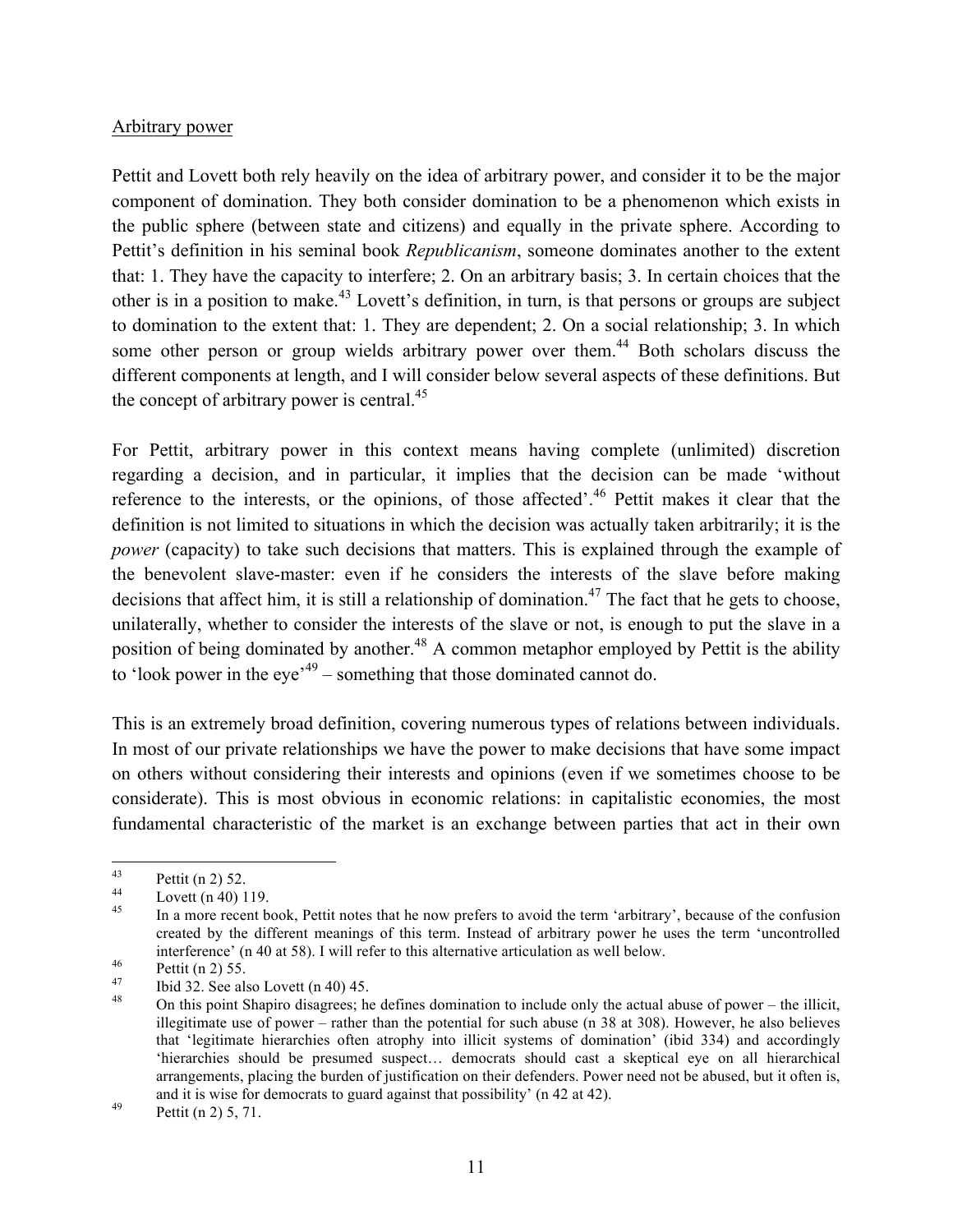### Arbitrary power

Pettit and Lovett both rely heavily on the idea of arbitrary power, and consider it to be the major component of domination. They both consider domination to be a phenomenon which exists in the public sphere (between state and citizens) and equally in the private sphere. According to Pettit's definition in his seminal book *Republicanism*, someone dominates another to the extent that: 1. They have the capacity to interfere; 2. On an arbitrary basis; 3. In certain choices that the other is in a position to make.<sup>43</sup> Lovett's definition, in turn, is that persons or groups are subject to domination to the extent that: 1. They are dependent; 2. On a social relationship; 3. In which some other person or group wields arbitrary power over them.<sup>44</sup> Both scholars discuss the different components at length, and I will consider below several aspects of these definitions. But the concept of arbitrary power is central.<sup>45</sup>

For Pettit, arbitrary power in this context means having complete (unlimited) discretion regarding a decision, and in particular, it implies that the decision can be made 'without reference to the interests, or the opinions, of those affected'.<sup>46</sup> Pettit makes it clear that the definition is not limited to situations in which the decision was actually taken arbitrarily; it is the *power* (capacity) to take such decisions that matters. This is explained through the example of the benevolent slave-master: even if he considers the interests of the slave before making decisions that affect him, it is still a relationship of domination.<sup>47</sup> The fact that he gets to choose, unilaterally, whether to consider the interests of the slave or not, is enough to put the slave in a position of being dominated by another.<sup>48</sup> A common metaphor employed by Pettit is the ability to 'look power in the eye'<sup> $49$ </sup> – something that those dominated cannot do.

This is an extremely broad definition, covering numerous types of relations between individuals. In most of our private relationships we have the power to make decisions that have some impact on others without considering their interests and opinions (even if we sometimes choose to be considerate). This is most obvious in economic relations: in capitalistic economies, the most fundamental characteristic of the market is an exchange between parties that act in their own

Pettit (n 2) 52.<br>
Lovett (n 40) 119.<br>
In a more recent book, Pettit notes that he now prefers to avoid the term 'arbitrary', because of the confusion created by the different meanings of this term. Instead of arbitrary power he uses the term 'uncontrolled interference' (n 40 at 58). I will refer to this alternative articulation as well below.<br>
Pettit (n 2) 55.<br>
Ibid 32. See also Lovett (n 40) 45.<br>
On this point Shapiro disagrees; he defines domination to include only the a

illegitimate use of power – rather than the potential for such abuse (n 38 at 308). However, he also believes that 'legitimate hierarchies often atrophy into illicit systems of domination' (ibid 334) and accordingly 'hierarchies should be presumed suspect… democrats should cast a skeptical eye on all hierarchical arrangements, placing the burden of justification on their defenders. Power need not be abused, but it often is, and it is wise for democrats to guard against that possibility' (n 42 at 42). Pettit (n 2) 5, 71.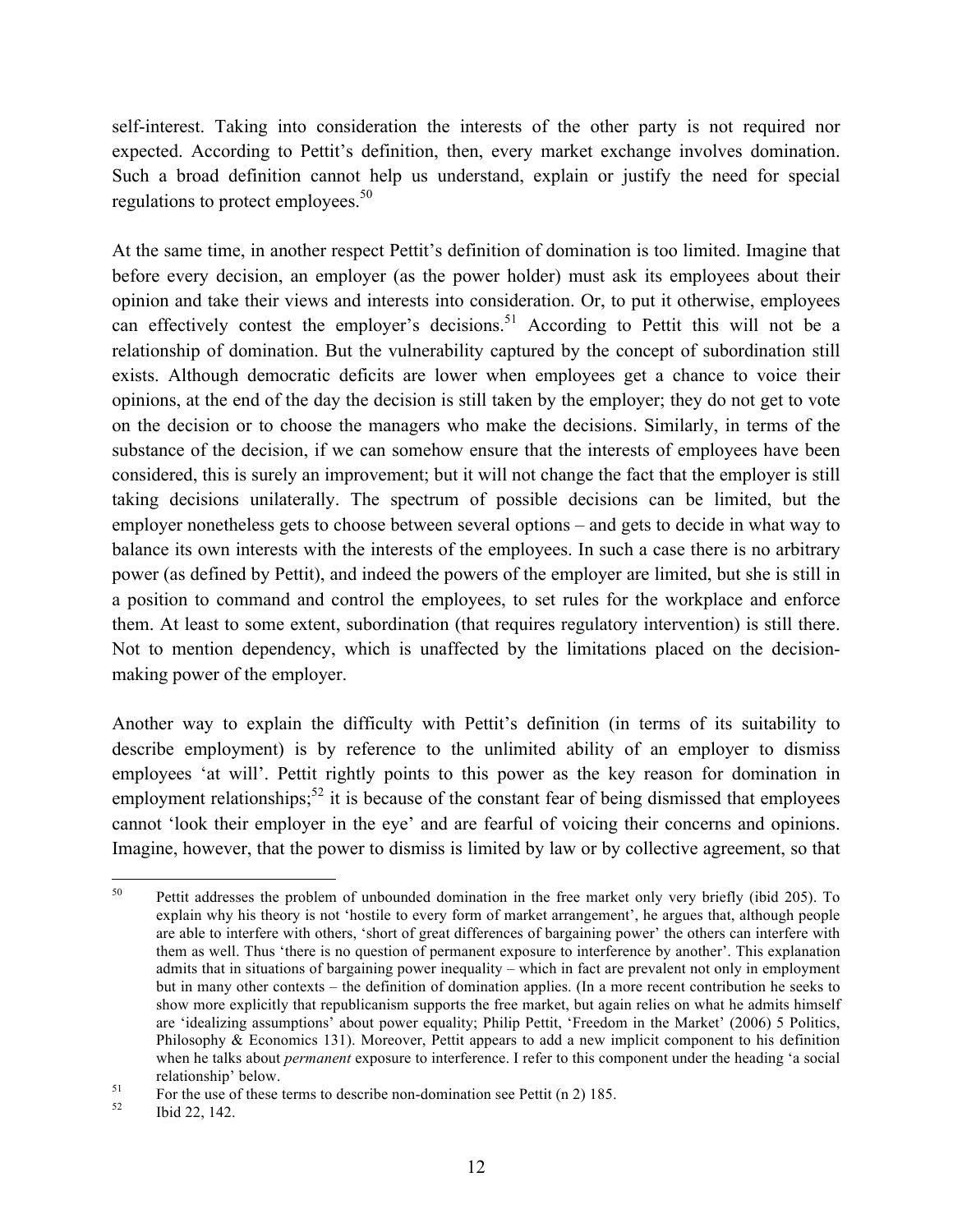self-interest. Taking into consideration the interests of the other party is not required nor expected. According to Pettit's definition, then, every market exchange involves domination. Such a broad definition cannot help us understand, explain or justify the need for special regulations to protect employees.<sup>50</sup>

At the same time, in another respect Pettit's definition of domination is too limited. Imagine that before every decision, an employer (as the power holder) must ask its employees about their opinion and take their views and interests into consideration. Or, to put it otherwise, employees can effectively contest the employer's decisions.<sup>51</sup> According to Pettit this will not be a relationship of domination. But the vulnerability captured by the concept of subordination still exists. Although democratic deficits are lower when employees get a chance to voice their opinions, at the end of the day the decision is still taken by the employer; they do not get to vote on the decision or to choose the managers who make the decisions. Similarly, in terms of the substance of the decision, if we can somehow ensure that the interests of employees have been considered, this is surely an improvement; but it will not change the fact that the employer is still taking decisions unilaterally. The spectrum of possible decisions can be limited, but the employer nonetheless gets to choose between several options – and gets to decide in what way to balance its own interests with the interests of the employees. In such a case there is no arbitrary power (as defined by Pettit), and indeed the powers of the employer are limited, but she is still in a position to command and control the employees, to set rules for the workplace and enforce them. At least to some extent, subordination (that requires regulatory intervention) is still there. Not to mention dependency, which is unaffected by the limitations placed on the decisionmaking power of the employer.

Another way to explain the difficulty with Pettit's definition (in terms of its suitability to describe employment) is by reference to the unlimited ability of an employer to dismiss employees 'at will'. Pettit rightly points to this power as the key reason for domination in employment relationships;<sup>52</sup> it is because of the constant fear of being dismissed that employees cannot 'look their employer in the eye' and are fearful of voicing their concerns and opinions. Imagine, however, that the power to dismiss is limited by law or by collective agreement, so that

<sup>&</sup>lt;sup>50</sup> Pettit addresses the problem of unbounded domination in the free market only very briefly (ibid 205). To explain why his theory is not 'hostile to every form of market arrangement', he argues that, although people are able to interfere with others, 'short of great differences of bargaining power' the others can interfere with them as well. Thus 'there is no question of permanent exposure to interference by another'. This explanation admits that in situations of bargaining power inequality – which in fact are prevalent not only in employment but in many other contexts – the definition of domination applies. (In a more recent contribution he seeks to show more explicitly that republicanism supports the free market, but again relies on what he admits himself are 'idealizing assumptions' about power equality; Philip Pettit, 'Freedom in the Market' (2006) 5 Politics, Philosophy & Economics 131). Moreover, Pettit appears to add a new implicit component to his definition when he talks about *permanent* exposure to interference. I refer to this component under the heading 'a social

relationship' below.<br>
For the use of these terms to describe non-domination see Pettit (n 2) 185.<br>
Ibid 22, 142.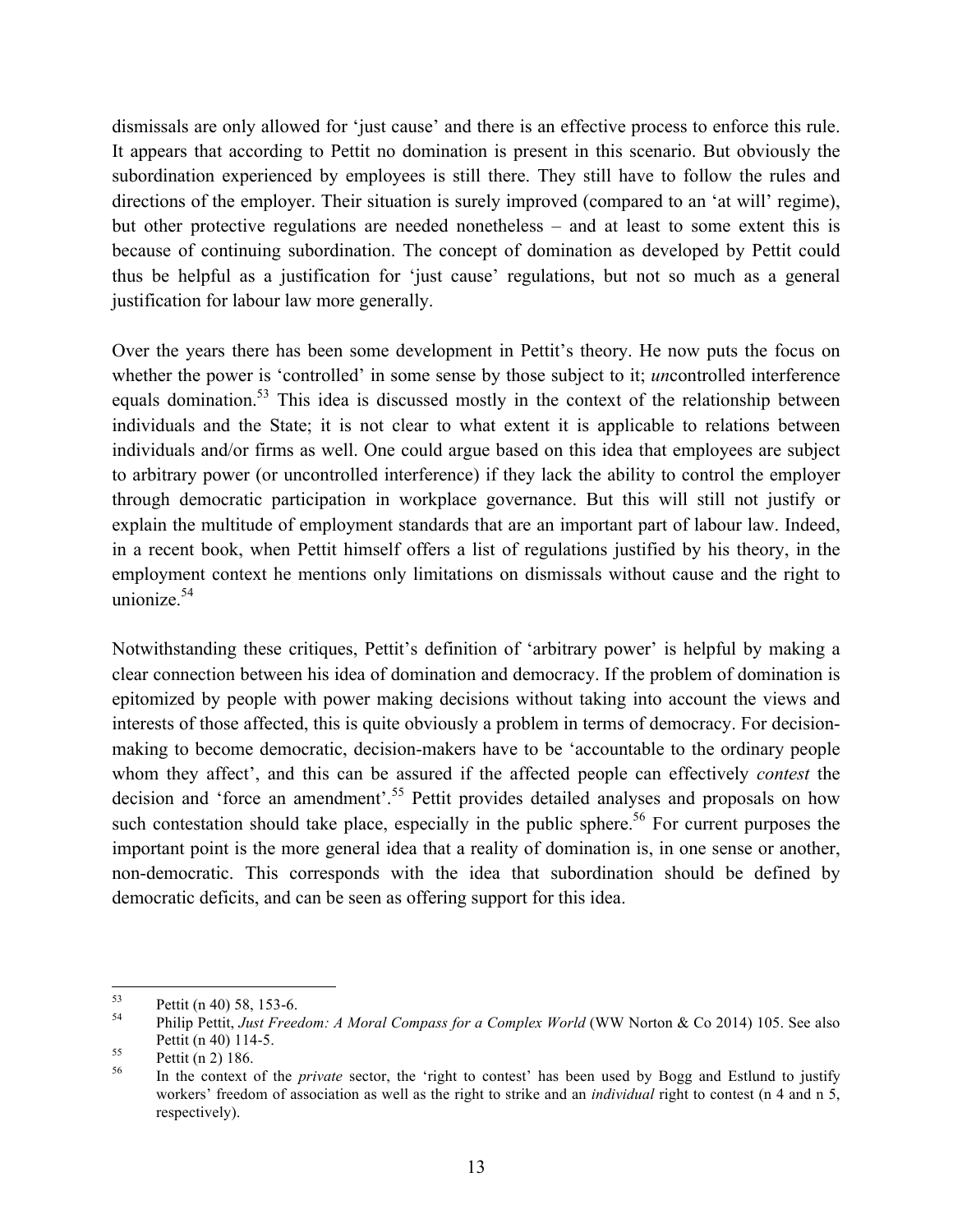dismissals are only allowed for 'just cause' and there is an effective process to enforce this rule. It appears that according to Pettit no domination is present in this scenario. But obviously the subordination experienced by employees is still there. They still have to follow the rules and directions of the employer. Their situation is surely improved (compared to an 'at will' regime), but other protective regulations are needed nonetheless – and at least to some extent this is because of continuing subordination. The concept of domination as developed by Pettit could thus be helpful as a justification for 'just cause' regulations, but not so much as a general justification for labour law more generally.

Over the years there has been some development in Pettit's theory. He now puts the focus on whether the power is 'controlled' in some sense by those subject to it; *un*controlled interference equals domination.<sup>53</sup> This idea is discussed mostly in the context of the relationship between individuals and the State; it is not clear to what extent it is applicable to relations between individuals and/or firms as well. One could argue based on this idea that employees are subject to arbitrary power (or uncontrolled interference) if they lack the ability to control the employer through democratic participation in workplace governance. But this will still not justify or explain the multitude of employment standards that are an important part of labour law. Indeed, in a recent book, when Pettit himself offers a list of regulations justified by his theory, in the employment context he mentions only limitations on dismissals without cause and the right to unionize. $54$ 

Notwithstanding these critiques, Pettit's definition of 'arbitrary power' is helpful by making a clear connection between his idea of domination and democracy. If the problem of domination is epitomized by people with power making decisions without taking into account the views and interests of those affected, this is quite obviously a problem in terms of democracy. For decisionmaking to become democratic, decision-makers have to be 'accountable to the ordinary people whom they affect', and this can be assured if the affected people can effectively *contest* the decision and 'force an amendment'.<sup>55</sup> Pettit provides detailed analyses and proposals on how such contestation should take place, especially in the public sphere.<sup>56</sup> For current purposes the important point is the more general idea that a reality of domination is, in one sense or another, non-democratic. This corresponds with the idea that subordination should be defined by democratic deficits, and can be seen as offering support for this idea.

<sup>53</sup> Pettit (n 40) 58, 153-6. <sup>54</sup> Philip Pettit, *Just Freedom: A Moral Compass for a Complex World* (WW Norton & Co 2014) 105. See also Pettit (n 40) 114-5.<br><sup>55</sup> Pettit (n 2) 186.<br><sup>56</sup> In the context of the *private* sector, the 'right to contest' has been used by Bogg and Estlund to justify

workers' freedom of association as well as the right to strike and an *individual* right to contest (n 4 and n 5, respectively).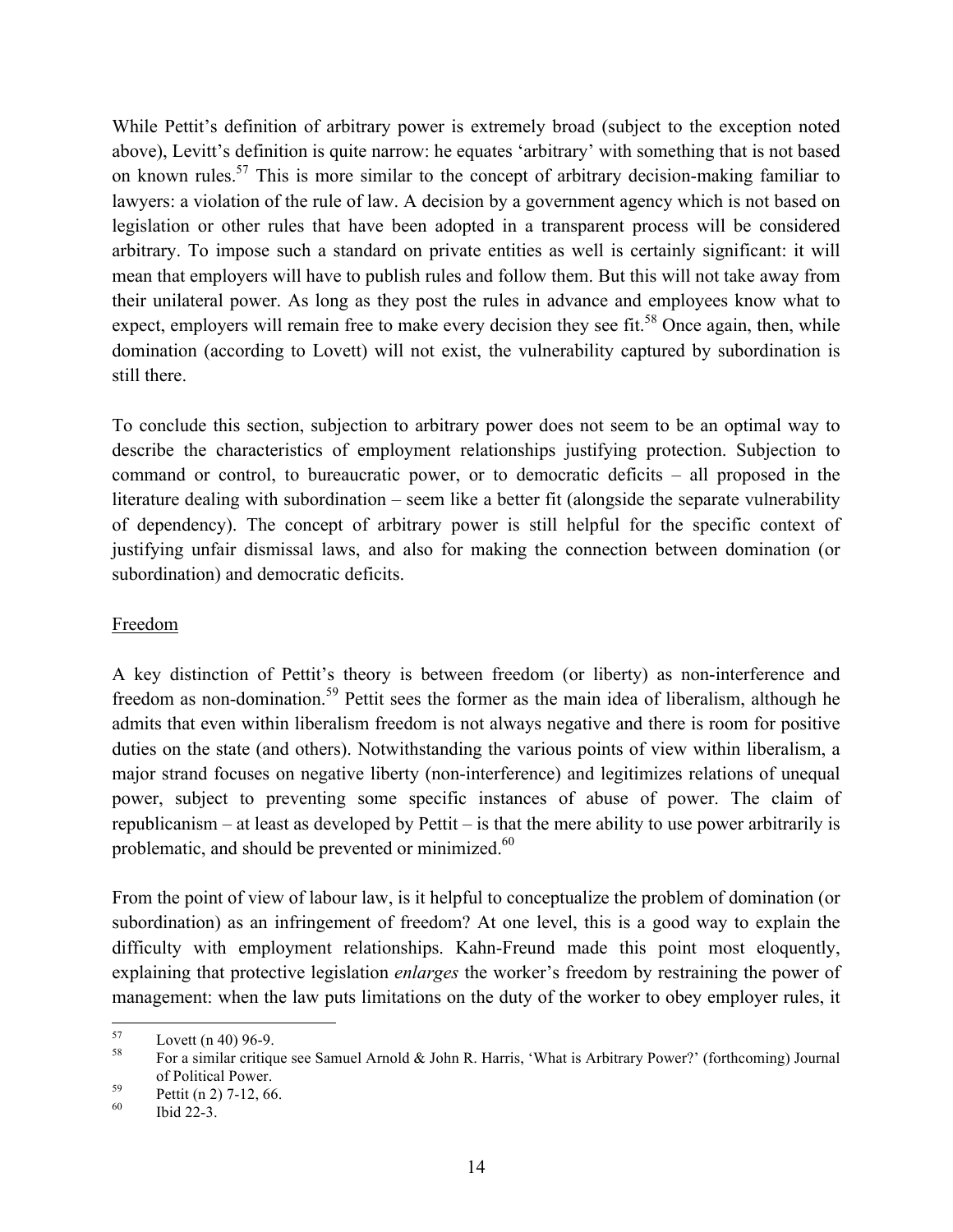While Pettit's definition of arbitrary power is extremely broad (subject to the exception noted above), Levitt's definition is quite narrow: he equates 'arbitrary' with something that is not based on known rules.<sup>57</sup> This is more similar to the concept of arbitrary decision-making familiar to lawyers: a violation of the rule of law. A decision by a government agency which is not based on legislation or other rules that have been adopted in a transparent process will be considered arbitrary. To impose such a standard on private entities as well is certainly significant: it will mean that employers will have to publish rules and follow them. But this will not take away from their unilateral power. As long as they post the rules in advance and employees know what to expect, employers will remain free to make every decision they see fit.<sup>58</sup> Once again, then, while domination (according to Lovett) will not exist, the vulnerability captured by subordination is still there.

To conclude this section, subjection to arbitrary power does not seem to be an optimal way to describe the characteristics of employment relationships justifying protection. Subjection to command or control, to bureaucratic power, or to democratic deficits – all proposed in the literature dealing with subordination – seem like a better fit (alongside the separate vulnerability of dependency). The concept of arbitrary power is still helpful for the specific context of justifying unfair dismissal laws, and also for making the connection between domination (or subordination) and democratic deficits.

## Freedom

A key distinction of Pettit's theory is between freedom (or liberty) as non-interference and freedom as non-domination.<sup>59</sup> Pettit sees the former as the main idea of liberalism, although he admits that even within liberalism freedom is not always negative and there is room for positive duties on the state (and others). Notwithstanding the various points of view within liberalism, a major strand focuses on negative liberty (non-interference) and legitimizes relations of unequal power, subject to preventing some specific instances of abuse of power. The claim of republicanism – at least as developed by Pettit – is that the mere ability to use power arbitrarily is problematic, and should be prevented or minimized.<sup>60</sup>

From the point of view of labour law, is it helpful to conceptualize the problem of domination (or subordination) as an infringement of freedom? At one level, this is a good way to explain the difficulty with employment relationships. Kahn-Freund made this point most eloquently, explaining that protective legislation *enlarges* the worker's freedom by restraining the power of management: when the law puts limitations on the duty of the worker to obey employer rules, it

<sup>&</sup>lt;sup>57</sup> Lovett (n 40) 96-9.<br><sup>58</sup> For a similar critique see Samuel Arnold & John R. Harris, 'What is Arbitrary Power?' (forthcoming) Journal of Political Power. <sup>59</sup> Pettit (n 2) 7-12, 66. <sup>60</sup> Ibid 22-3.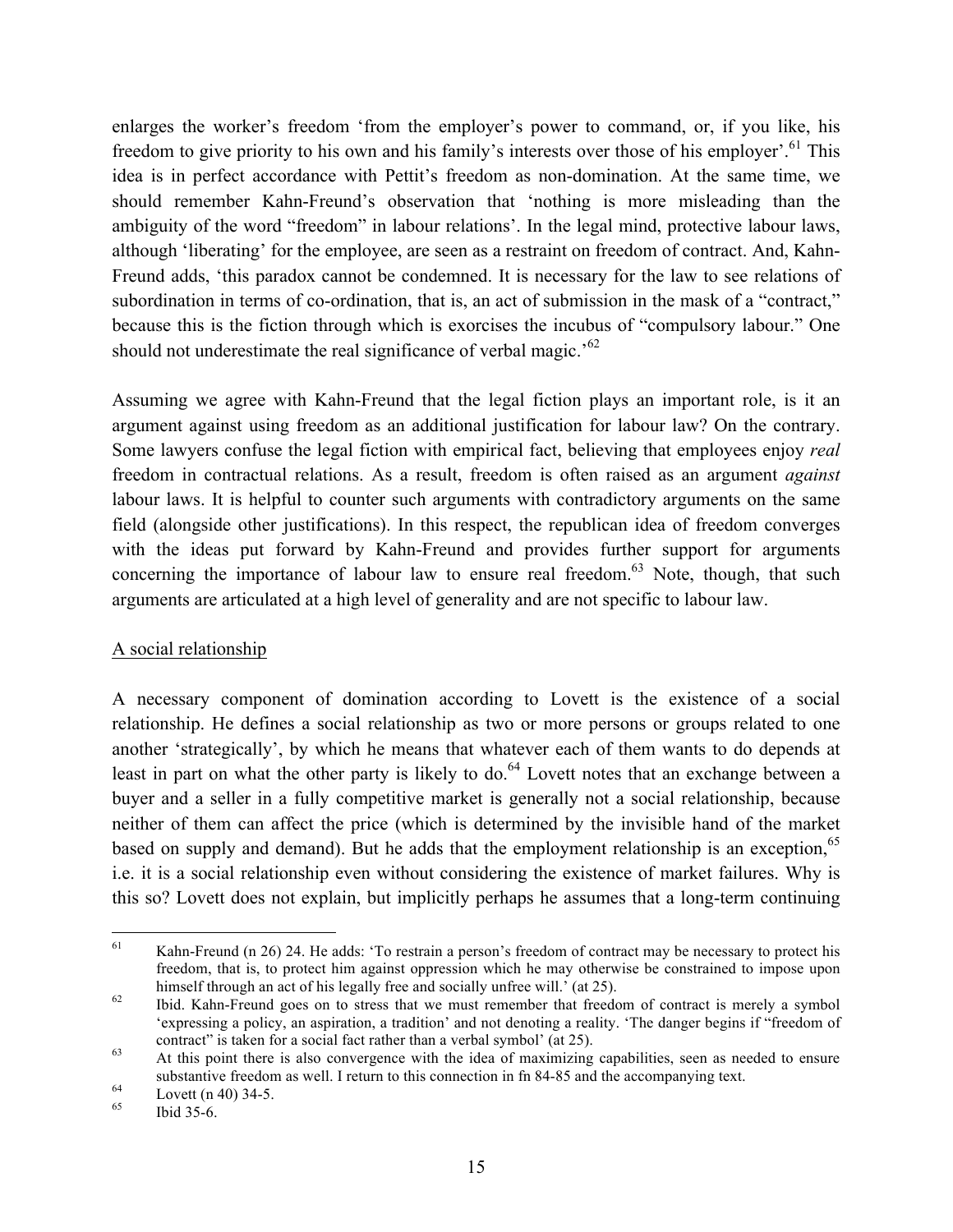enlarges the worker's freedom 'from the employer's power to command, or, if you like, his freedom to give priority to his own and his family's interests over those of his employer'.<sup>61</sup> This idea is in perfect accordance with Pettit's freedom as non-domination. At the same time, we should remember Kahn-Freund's observation that 'nothing is more misleading than the ambiguity of the word "freedom" in labour relations'. In the legal mind, protective labour laws, although 'liberating' for the employee, are seen as a restraint on freedom of contract. And, Kahn-Freund adds, 'this paradox cannot be condemned. It is necessary for the law to see relations of subordination in terms of co-ordination, that is, an act of submission in the mask of a "contract," because this is the fiction through which is exorcises the incubus of "compulsory labour." One should not underestimate the real significance of verbal magic.<sup>'62</sup>

Assuming we agree with Kahn-Freund that the legal fiction plays an important role, is it an argument against using freedom as an additional justification for labour law? On the contrary. Some lawyers confuse the legal fiction with empirical fact, believing that employees enjoy *real* freedom in contractual relations. As a result, freedom is often raised as an argument *against* labour laws. It is helpful to counter such arguments with contradictory arguments on the same field (alongside other justifications). In this respect, the republican idea of freedom converges with the ideas put forward by Kahn-Freund and provides further support for arguments concerning the importance of labour law to ensure real freedom.<sup>63</sup> Note, though, that such arguments are articulated at a high level of generality and are not specific to labour law.

### A social relationship

A necessary component of domination according to Lovett is the existence of a social relationship. He defines a social relationship as two or more persons or groups related to one another 'strategically', by which he means that whatever each of them wants to do depends at least in part on what the other party is likely to do.<sup>64</sup> Lovett notes that an exchange between a buyer and a seller in a fully competitive market is generally not a social relationship, because neither of them can affect the price (which is determined by the invisible hand of the market based on supply and demand). But he adds that the employment relationship is an exception,<sup>65</sup> i.e. it is a social relationship even without considering the existence of market failures. Why is this so? Lovett does not explain, but implicitly perhaps he assumes that a long-term continuing

<sup>&</sup>lt;sup>61</sup> Kahn-Freund (n 26) 24. He adds: 'To restrain a person's freedom of contract may be necessary to protect his freedom, that is, to protect him against oppression which he may otherwise be constrained to impose upon himself through an act of his legally free and socially unfree will.' (at 25).<br><sup>62</sup> Ibid. Kahn-Freund goes on to stress that we must remember that freedom of contract is merely a symbol

<sup>&#</sup>x27;expressing a policy, an aspiration, a tradition' and not denoting a reality. 'The danger begins if "freedom of contract" is taken for a social fact rather than a verbal symbol' (at  $25$ ).<br>At this point there is also convergence with the idea of maximizing capabilities, seen as needed to ensure

substantive freedom as well. I return to this connection in fn 84-85 and the accompanying text.<br>
Lovett (n 40) 34-5.<br>
Ibid 35-6.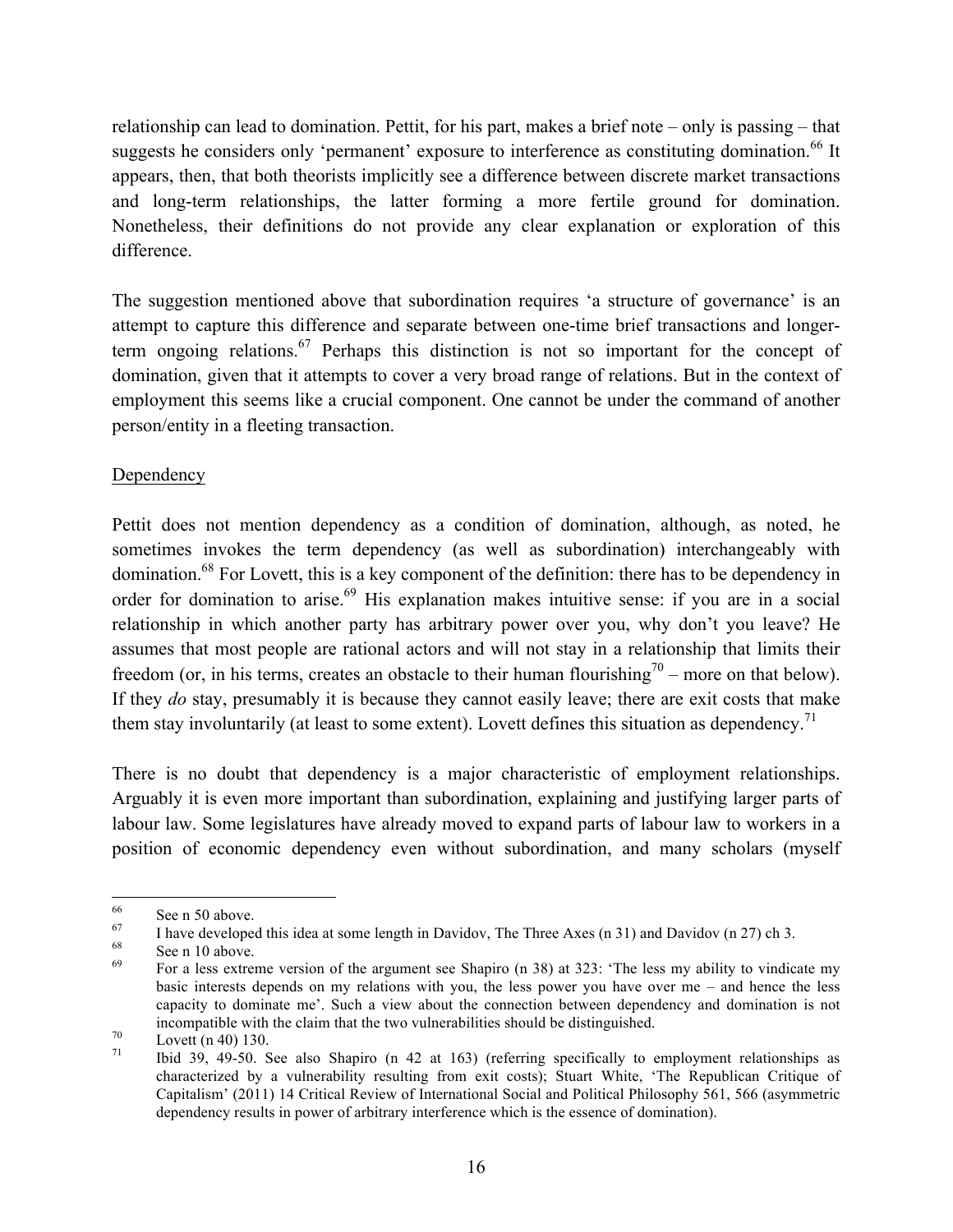relationship can lead to domination. Pettit, for his part, makes a brief note – only is passing – that suggests he considers only 'permanent' exposure to interference as constituting domination.<sup>66</sup> It appears, then, that both theorists implicitly see a difference between discrete market transactions and long-term relationships, the latter forming a more fertile ground for domination. Nonetheless, their definitions do not provide any clear explanation or exploration of this difference.

The suggestion mentioned above that subordination requires 'a structure of governance' is an attempt to capture this difference and separate between one-time brief transactions and longerterm ongoing relations.<sup>67</sup> Perhaps this distinction is not so important for the concept of domination, given that it attempts to cover a very broad range of relations. But in the context of employment this seems like a crucial component. One cannot be under the command of another person/entity in a fleeting transaction.

## Dependency

Pettit does not mention dependency as a condition of domination, although, as noted, he sometimes invokes the term dependency (as well as subordination) interchangeably with domination.<sup>68</sup> For Lovett, this is a key component of the definition: there has to be dependency in order for domination to arise.<sup>69</sup> His explanation makes intuitive sense: if you are in a social relationship in which another party has arbitrary power over you, why don't you leave? He assumes that most people are rational actors and will not stay in a relationship that limits their freedom (or, in his terms, creates an obstacle to their human flourishing<sup>70</sup> – more on that below). If they *do* stay, presumably it is because they cannot easily leave; there are exit costs that make them stay involuntarily (at least to some extent). Lovett defines this situation as dependency.<sup>71</sup>

There is no doubt that dependency is a major characteristic of employment relationships. Arguably it is even more important than subordination, explaining and justifying larger parts of labour law. Some legislatures have already moved to expand parts of labour law to workers in a position of economic dependency even without subordination, and many scholars (myself

<sup>&</sup>lt;sup>66</sup><br>
<sup>67</sup> I have developed this idea at some length in Davidov, The Three Axes (n 31) and Davidov (n 27) ch 3.<br>
<sup>68</sup> See n 10 above.<br>
<sup>69</sup> For a less extreme version of the argument see Shapiro (n 38) at 323: 'The less m

basic interests depends on my relations with you, the less power you have over me – and hence the less capacity to dominate me'. Such a view about the connection between dependency and domination is not incompatible with the claim that the two vulnerabilities should be distinguished.<br> *T*<sup>1</sup> Lovett (n 40) 130.<br> *T*<sup>1</sup> Ibid 39, 49-50. See also Shapiro (n 42 at 163) (referring specifically to employment relationships as

characterized by a vulnerability resulting from exit costs); Stuart White, 'The Republican Critique of Capitalism' (2011) 14 Critical Review of International Social and Political Philosophy 561, 566 (asymmetric dependency results in power of arbitrary interference which is the essence of domination).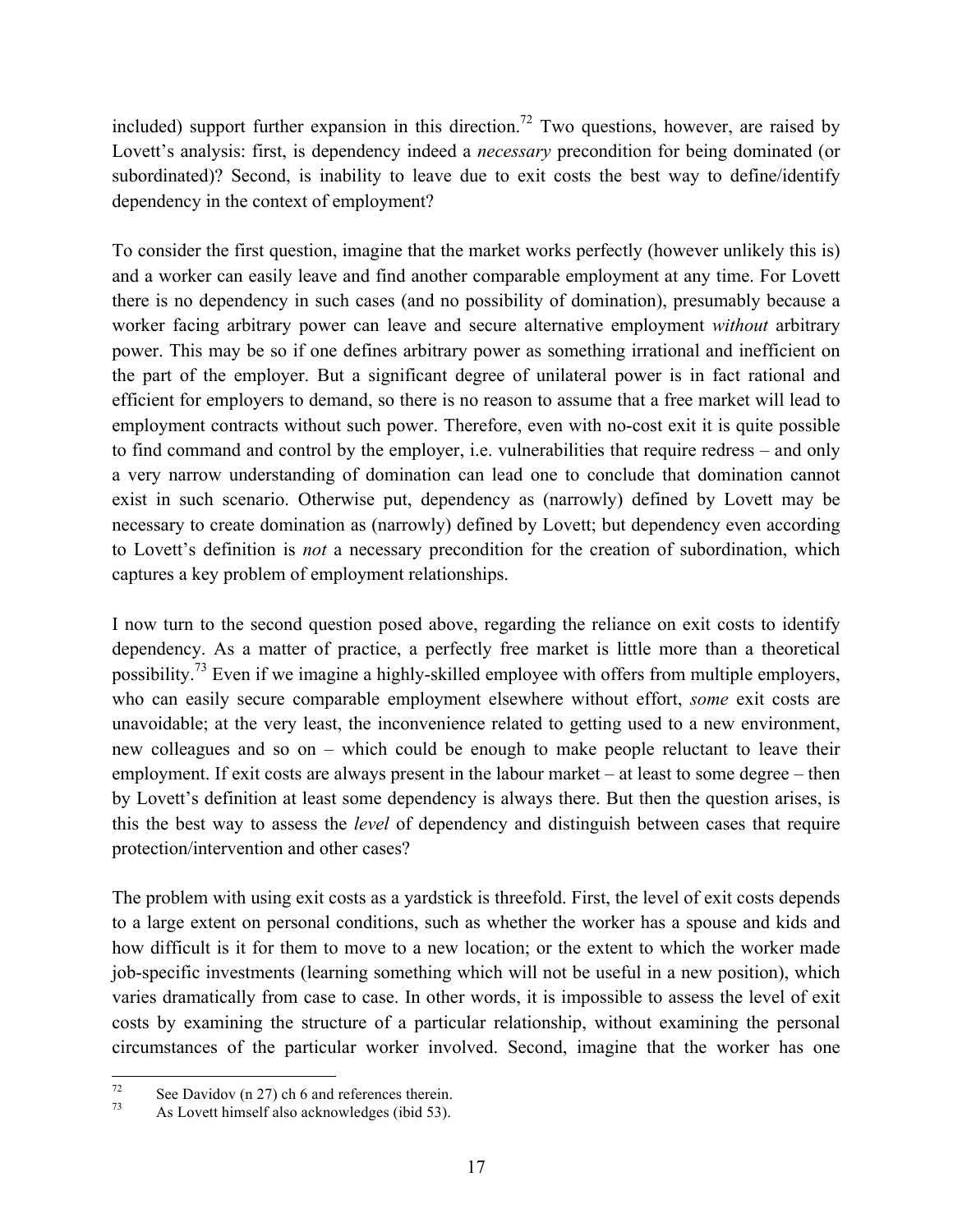included) support further expansion in this direction.<sup>72</sup> Two questions, however, are raised by Lovett's analysis: first, is dependency indeed a *necessary* precondition for being dominated (or subordinated)? Second, is inability to leave due to exit costs the best way to define/identify dependency in the context of employment?

To consider the first question, imagine that the market works perfectly (however unlikely this is) and a worker can easily leave and find another comparable employment at any time. For Lovett there is no dependency in such cases (and no possibility of domination), presumably because a worker facing arbitrary power can leave and secure alternative employment *without* arbitrary power. This may be so if one defines arbitrary power as something irrational and inefficient on the part of the employer. But a significant degree of unilateral power is in fact rational and efficient for employers to demand, so there is no reason to assume that a free market will lead to employment contracts without such power. Therefore, even with no-cost exit it is quite possible to find command and control by the employer, i.e. vulnerabilities that require redress – and only a very narrow understanding of domination can lead one to conclude that domination cannot exist in such scenario. Otherwise put, dependency as (narrowly) defined by Lovett may be necessary to create domination as (narrowly) defined by Lovett; but dependency even according to Lovett's definition is *not* a necessary precondition for the creation of subordination, which captures a key problem of employment relationships.

I now turn to the second question posed above, regarding the reliance on exit costs to identify dependency. As a matter of practice, a perfectly free market is little more than a theoretical possibility.<sup>73</sup> Even if we imagine a highly-skilled employee with offers from multiple employers, who can easily secure comparable employment elsewhere without effort, *some* exit costs are unavoidable; at the very least, the inconvenience related to getting used to a new environment, new colleagues and so on – which could be enough to make people reluctant to leave their employment. If exit costs are always present in the labour market – at least to some degree – then by Lovett's definition at least some dependency is always there. But then the question arises, is this the best way to assess the *level* of dependency and distinguish between cases that require protection/intervention and other cases?

The problem with using exit costs as a yardstick is threefold. First, the level of exit costs depends to a large extent on personal conditions, such as whether the worker has a spouse and kids and how difficult is it for them to move to a new location; or the extent to which the worker made job-specific investments (learning something which will not be useful in a new position), which varies dramatically from case to case. In other words, it is impossible to assess the level of exit costs by examining the structure of a particular relationship, without examining the personal circumstances of the particular worker involved. Second, imagine that the worker has one

<sup>&</sup>lt;sup>72</sup> See Davidov (n 27) ch 6 and references therein.<br>As Lovett himself also acknowledges (ibid 53).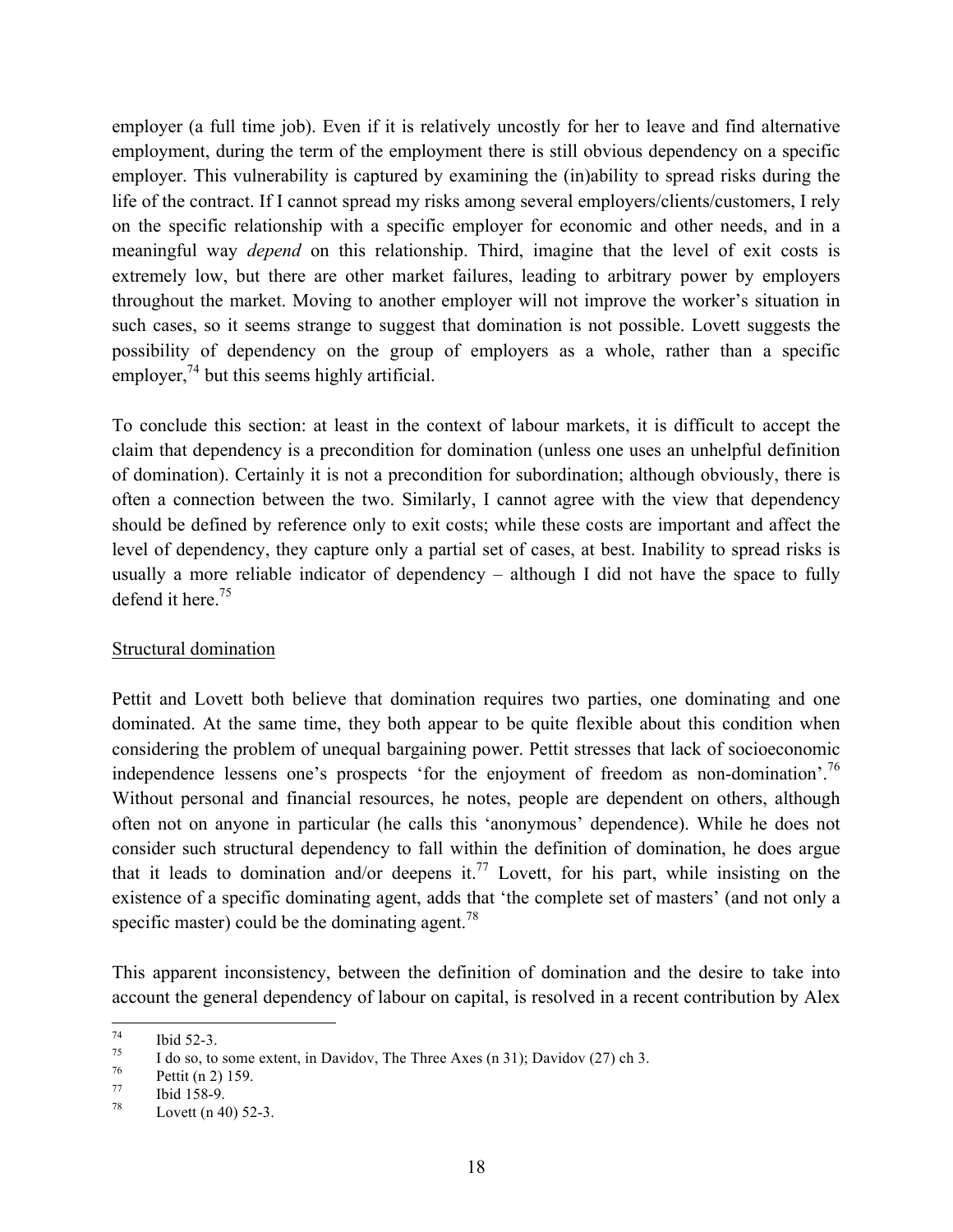employer (a full time job). Even if it is relatively uncostly for her to leave and find alternative employment, during the term of the employment there is still obvious dependency on a specific employer. This vulnerability is captured by examining the (in)ability to spread risks during the life of the contract. If I cannot spread my risks among several employers/clients/customers, I rely on the specific relationship with a specific employer for economic and other needs, and in a meaningful way *depend* on this relationship. Third, imagine that the level of exit costs is extremely low, but there are other market failures, leading to arbitrary power by employers throughout the market. Moving to another employer will not improve the worker's situation in such cases, so it seems strange to suggest that domination is not possible. Lovett suggests the possibility of dependency on the group of employers as a whole, rather than a specific employer, $7<sup>4</sup>$  but this seems highly artificial.

To conclude this section: at least in the context of labour markets, it is difficult to accept the claim that dependency is a precondition for domination (unless one uses an unhelpful definition of domination). Certainly it is not a precondition for subordination; although obviously, there is often a connection between the two. Similarly, I cannot agree with the view that dependency should be defined by reference only to exit costs; while these costs are important and affect the level of dependency, they capture only a partial set of cases, at best. Inability to spread risks is usually a more reliable indicator of dependency – although I did not have the space to fully defend it here.<sup>75</sup>

### Structural domination

Pettit and Lovett both believe that domination requires two parties, one dominating and one dominated. At the same time, they both appear to be quite flexible about this condition when considering the problem of unequal bargaining power. Pettit stresses that lack of socioeconomic independence lessens one's prospects 'for the enjoyment of freedom as non-domination'.<sup>76</sup> Without personal and financial resources, he notes, people are dependent on others, although often not on anyone in particular (he calls this 'anonymous' dependence). While he does not consider such structural dependency to fall within the definition of domination, he does argue that it leads to domination and/or deepens it.<sup>77</sup> Lovett, for his part, while insisting on the existence of a specific dominating agent, adds that 'the complete set of masters' (and not only a specific master) could be the dominating agent.<sup>78</sup>

This apparent inconsistency, between the definition of domination and the desire to take into account the general dependency of labour on capital, is resolved in a recent contribution by Alex

T<sup>4</sup> Ibid 52-3.<br>
I do so, to some extent, in Davidov, The Three Axes (n 31); Davidov (27) ch 3.<br>
Pettit (n 2) 159.<br>
Ibid 158-9.<br>
Lovett (n 40) 52-3.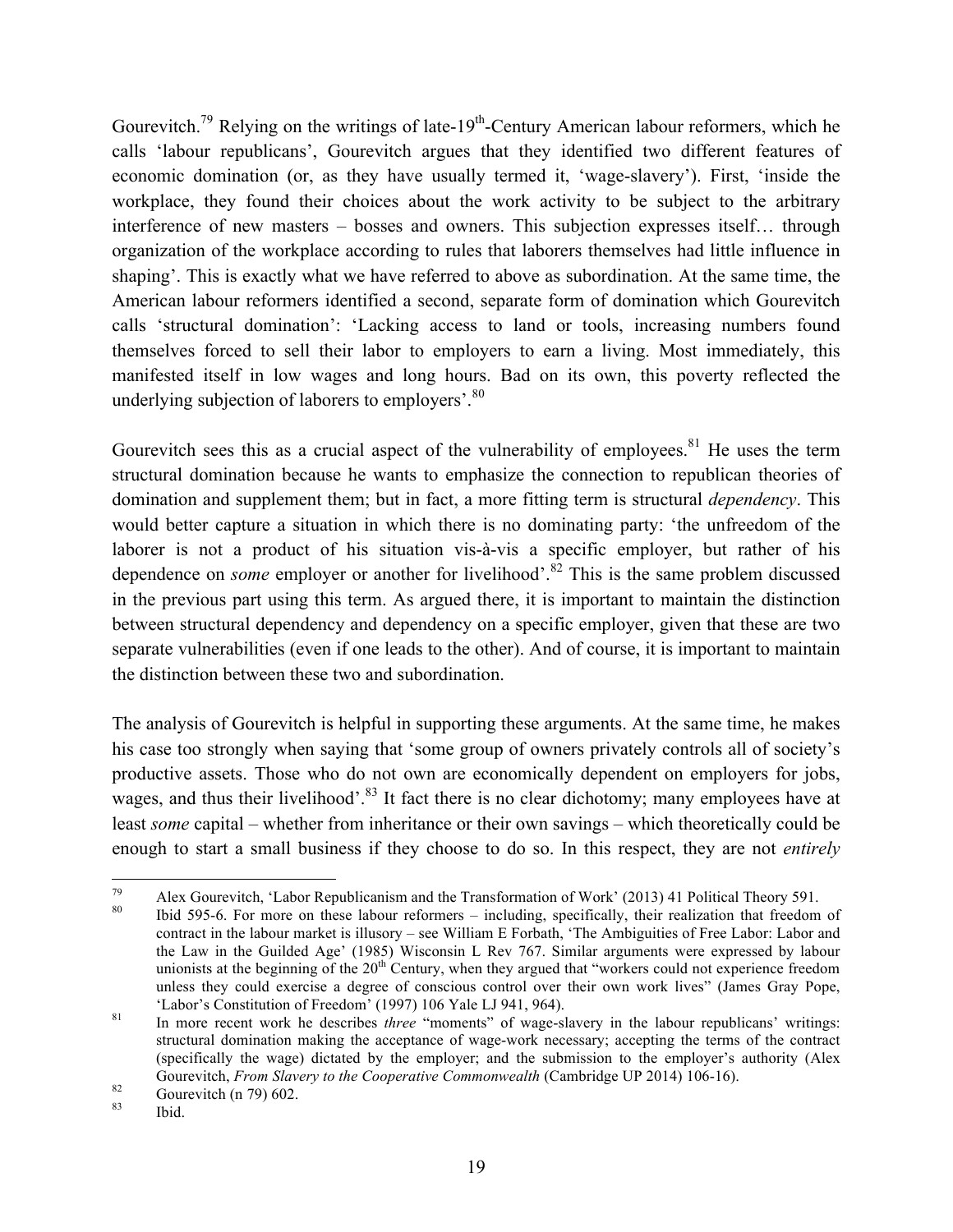Gourevitch.<sup>79</sup> Relying on the writings of late-19<sup>th</sup>-Century American labour reformers, which he calls 'labour republicans', Gourevitch argues that they identified two different features of economic domination (or, as they have usually termed it, 'wage-slavery'). First, 'inside the workplace, they found their choices about the work activity to be subject to the arbitrary interference of new masters – bosses and owners. This subjection expresses itself… through organization of the workplace according to rules that laborers themselves had little influence in shaping'. This is exactly what we have referred to above as subordination. At the same time, the American labour reformers identified a second, separate form of domination which Gourevitch calls 'structural domination': 'Lacking access to land or tools, increasing numbers found themselves forced to sell their labor to employers to earn a living. Most immediately, this manifested itself in low wages and long hours. Bad on its own, this poverty reflected the underlying subjection of laborers to employers'.<sup>80</sup>

Gourevitch sees this as a crucial aspect of the vulnerability of employees.<sup>81</sup> He uses the term structural domination because he wants to emphasize the connection to republican theories of domination and supplement them; but in fact, a more fitting term is structural *dependency*. This would better capture a situation in which there is no dominating party: 'the unfreedom of the laborer is not a product of his situation vis-à-vis a specific employer, but rather of his dependence on *some* employer or another for livelihood'.<sup>82</sup> This is the same problem discussed in the previous part using this term. As argued there, it is important to maintain the distinction between structural dependency and dependency on a specific employer, given that these are two separate vulnerabilities (even if one leads to the other). And of course, it is important to maintain the distinction between these two and subordination.

The analysis of Gourevitch is helpful in supporting these arguments. At the same time, he makes his case too strongly when saying that 'some group of owners privately controls all of society's productive assets. Those who do not own are economically dependent on employers for jobs, wages, and thus their livelihood'.<sup>83</sup> It fact there is no clear dichotomy; many employees have at least *some* capital – whether from inheritance or their own savings – which theoretically could be enough to start a small business if they choose to do so. In this respect, they are not *entirely*

<sup>&</sup>lt;sup>79</sup> Alex Gourevitch, 'Labor Republicanism and the Transformation of Work' (2013) 41 Political Theory 591.<br><sup>80</sup> Ibid 595-6. For more on these labour reformers – including, specifically, their realization that freedom of

contract in the labour market is illusory – see William E Forbath, 'The Ambiguities of Free Labor: Labor and the Law in the Guilded Age' (1985) Wisconsin L Rev 767. Similar arguments were expressed by labour unionists at the beginning of the 20<sup>th</sup> Century, when they argued that "workers could not experience freedom unless they could exercise a degree of conscious control over their own work lives" (James Gray Pope,

<sup>&#</sup>x27;Labor's Constitution of Freedom' (1997) 106 Yale LJ 941, 964). <sup>81</sup> In more recent work he describes *three* "moments" of wage-slavery in the labour republicans' writings: structural domination making the acceptance of wage-work necessary; accepting the terms of the contract (specifically the wage) dictated by the employer; and the submission to the employer's authority (Alex Gourevitch, *From Slavery to the Cooperative Commonwealth* (Cambridge UP 2014) 106-16).<br>
<sup>82</sup> Gourevitch (n 79) 602.<br>
<sup>83</sup> Ibid.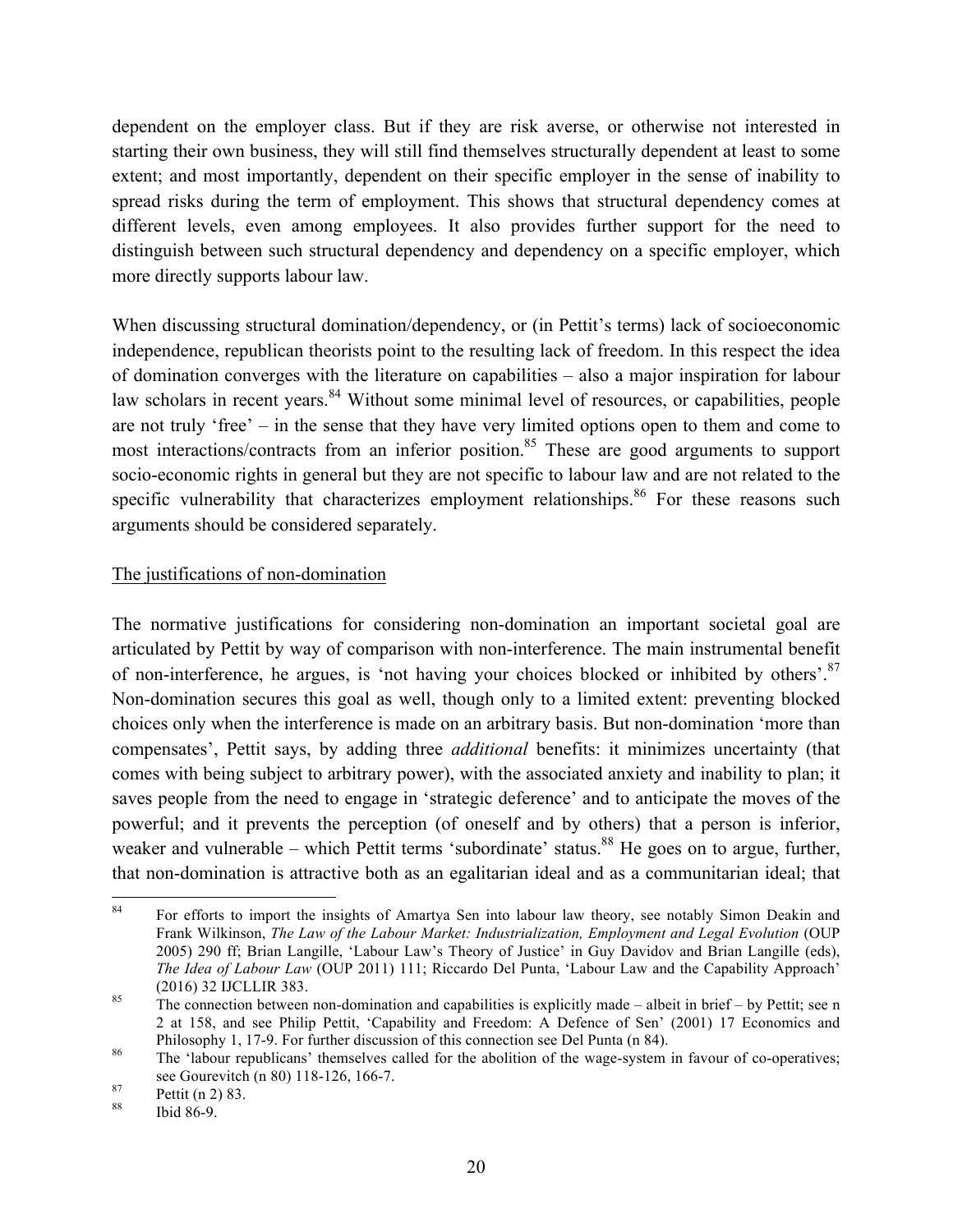dependent on the employer class. But if they are risk averse, or otherwise not interested in starting their own business, they will still find themselves structurally dependent at least to some extent; and most importantly, dependent on their specific employer in the sense of inability to spread risks during the term of employment. This shows that structural dependency comes at different levels, even among employees. It also provides further support for the need to distinguish between such structural dependency and dependency on a specific employer, which more directly supports labour law.

When discussing structural domination/dependency, or (in Pettit's terms) lack of socioeconomic independence, republican theorists point to the resulting lack of freedom. In this respect the idea of domination converges with the literature on capabilities – also a major inspiration for labour law scholars in recent years.<sup>84</sup> Without some minimal level of resources, or capabilities, people are not truly 'free' – in the sense that they have very limited options open to them and come to most interactions/contracts from an inferior position.<sup>85</sup> These are good arguments to support socio-economic rights in general but they are not specific to labour law and are not related to the specific vulnerability that characterizes employment relationships. $86$  For these reasons such arguments should be considered separately.

### The justifications of non-domination

The normative justifications for considering non-domination an important societal goal are articulated by Pettit by way of comparison with non-interference. The main instrumental benefit of non-interference, he argues, is 'not having your choices blocked or inhibited by others'.<sup>87</sup> Non-domination secures this goal as well, though only to a limited extent: preventing blocked choices only when the interference is made on an arbitrary basis. But non-domination 'more than compensates', Pettit says, by adding three *additional* benefits: it minimizes uncertainty (that comes with being subject to arbitrary power), with the associated anxiety and inability to plan; it saves people from the need to engage in 'strategic deference' and to anticipate the moves of the powerful; and it prevents the perception (of oneself and by others) that a person is inferior, weaker and vulnerable – which Pettit terms 'subordinate' status.<sup>88</sup> He goes on to argue, further, that non-domination is attractive both as an egalitarian ideal and as a communitarian ideal; that

<sup>&</sup>lt;sup>84</sup> For efforts to import the insights of Amartya Sen into labour law theory, see notably Simon Deakin and Frank Wilkinson, *The Law of the Labour Market: Industrialization, Employment and Legal Evolution* (OUP 2005) 290 ff; Brian Langille, 'Labour Law's Theory of Justice' in Guy Davidov and Brian Langille (eds), *The Idea of Labour Law* (OUP 2011) 111; Riccardo Del Punta, 'Labour Law and the Capability Approach' (2016) 32 IJCLLIR 383.<br><sup>85</sup> The connection between non-domination and capabilities is explicitly made – albeit in brief – by Pettit; see n

<sup>2</sup> at 158, and see Philip Pettit, 'Capability and Freedom: A Defence of Sen' (2001) 17 Economics and Philosophy 1, 17-9. For further discussion of this connection see Del Punta (n 84).<br><sup>86</sup> The 'labour republicans' themselves called for the abolition of the wage-system in favour of co-operatives;

see Gourevitch (n 80) 118-126, 166-7.<br>
<sup>87</sup> Pettit (n 2) 83.<br>
<sup>88</sup> Ibid 86-9.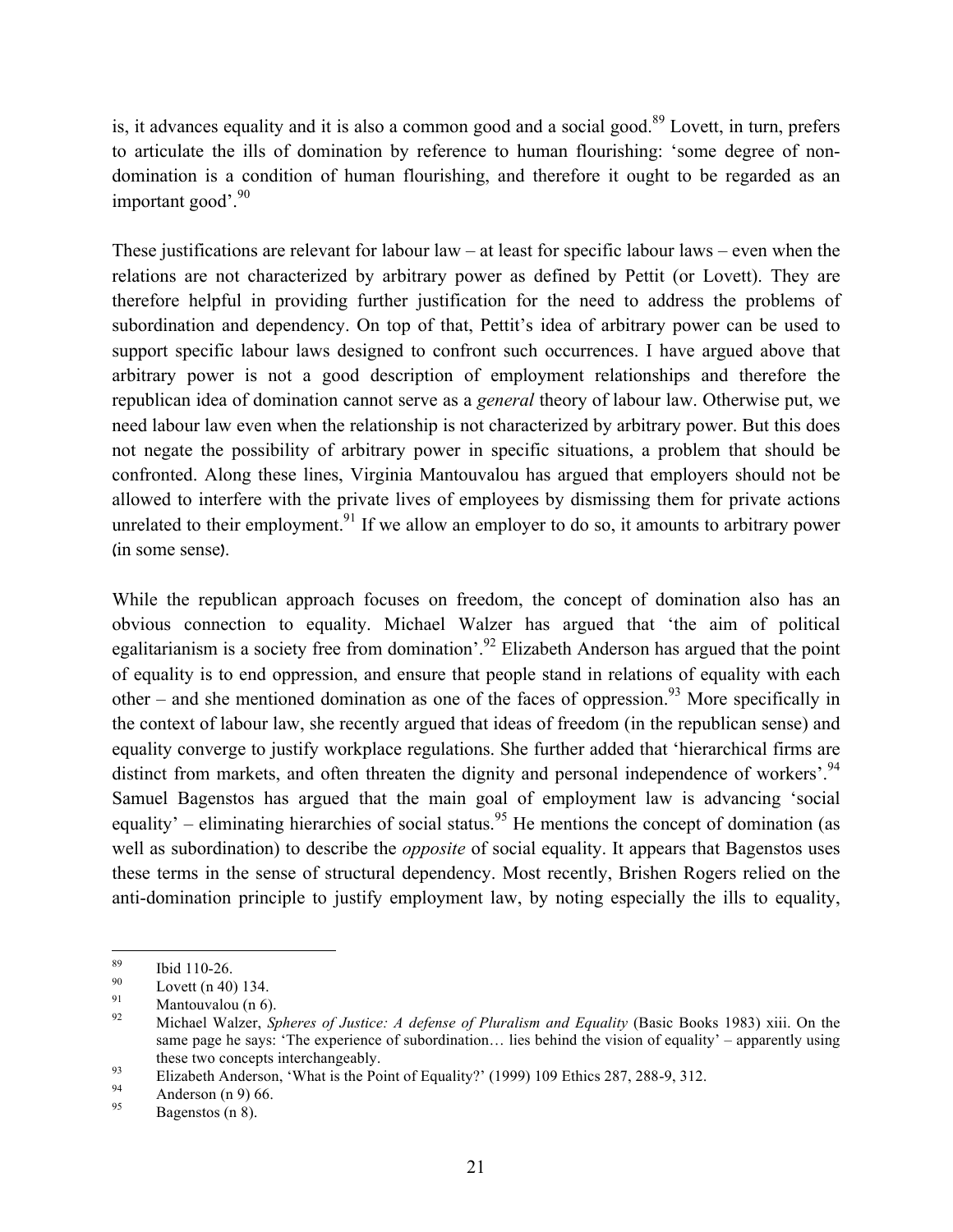is, it advances equality and it is also a common good and a social good.<sup>89</sup> Lovett, in turn, prefers to articulate the ills of domination by reference to human flourishing: 'some degree of nondomination is a condition of human flourishing, and therefore it ought to be regarded as an important good'. $90$ 

These justifications are relevant for labour law – at least for specific labour laws – even when the relations are not characterized by arbitrary power as defined by Pettit (or Lovett). They are therefore helpful in providing further justification for the need to address the problems of subordination and dependency. On top of that, Pettit's idea of arbitrary power can be used to support specific labour laws designed to confront such occurrences. I have argued above that arbitrary power is not a good description of employment relationships and therefore the republican idea of domination cannot serve as a *general* theory of labour law. Otherwise put, we need labour law even when the relationship is not characterized by arbitrary power. But this does not negate the possibility of arbitrary power in specific situations, a problem that should be confronted. Along these lines, Virginia Mantouvalou has argued that employers should not be allowed to interfere with the private lives of employees by dismissing them for private actions unrelated to their employment.<sup>91</sup> If we allow an employer to do so, it amounts to arbitrary power (in some sense).

While the republican approach focuses on freedom, the concept of domination also has an obvious connection to equality. Michael Walzer has argued that 'the aim of political egalitarianism is a society free from domination'.<sup>92</sup> Elizabeth Anderson has argued that the point of equality is to end oppression, and ensure that people stand in relations of equality with each other – and she mentioned domination as one of the faces of oppression.<sup>93</sup> More specifically in the context of labour law, she recently argued that ideas of freedom (in the republican sense) and equality converge to justify workplace regulations. She further added that 'hierarchical firms are distinct from markets, and often threaten the dignity and personal independence of workers'.<sup>94</sup> Samuel Bagenstos has argued that the main goal of employment law is advancing 'social equality' – eliminating hierarchies of social status.<sup>95</sup> He mentions the concept of domination (as well as subordination) to describe the *opposite* of social equality. It appears that Bagenstos uses these terms in the sense of structural dependency. Most recently, Brishen Rogers relied on the anti-domination principle to justify employment law, by noting especially the ills to equality,

<sup>&</sup>lt;sup>89</sup> Ibid 110-26.<br><sup>90</sup> Lovett (n 40) 134.<br><sup>91</sup> Mantouvalou (n 6).<br><sup>92</sup> Michael Walzer, *Spheres of Justice: A defense of Pluralism and Equality* (Basic Books 1983) xiii. On the same page he says: 'The experience of subordination… lies behind the vision of equality' – apparently using

these two concepts interchangeably.<br>
Elizabeth Anderson, 'What is the Point of Equality?' (1999) 109 Ethics 287, 288-9, 312.<br>
Anderson (n 9) 66.<br>
Bagenstos (n 8).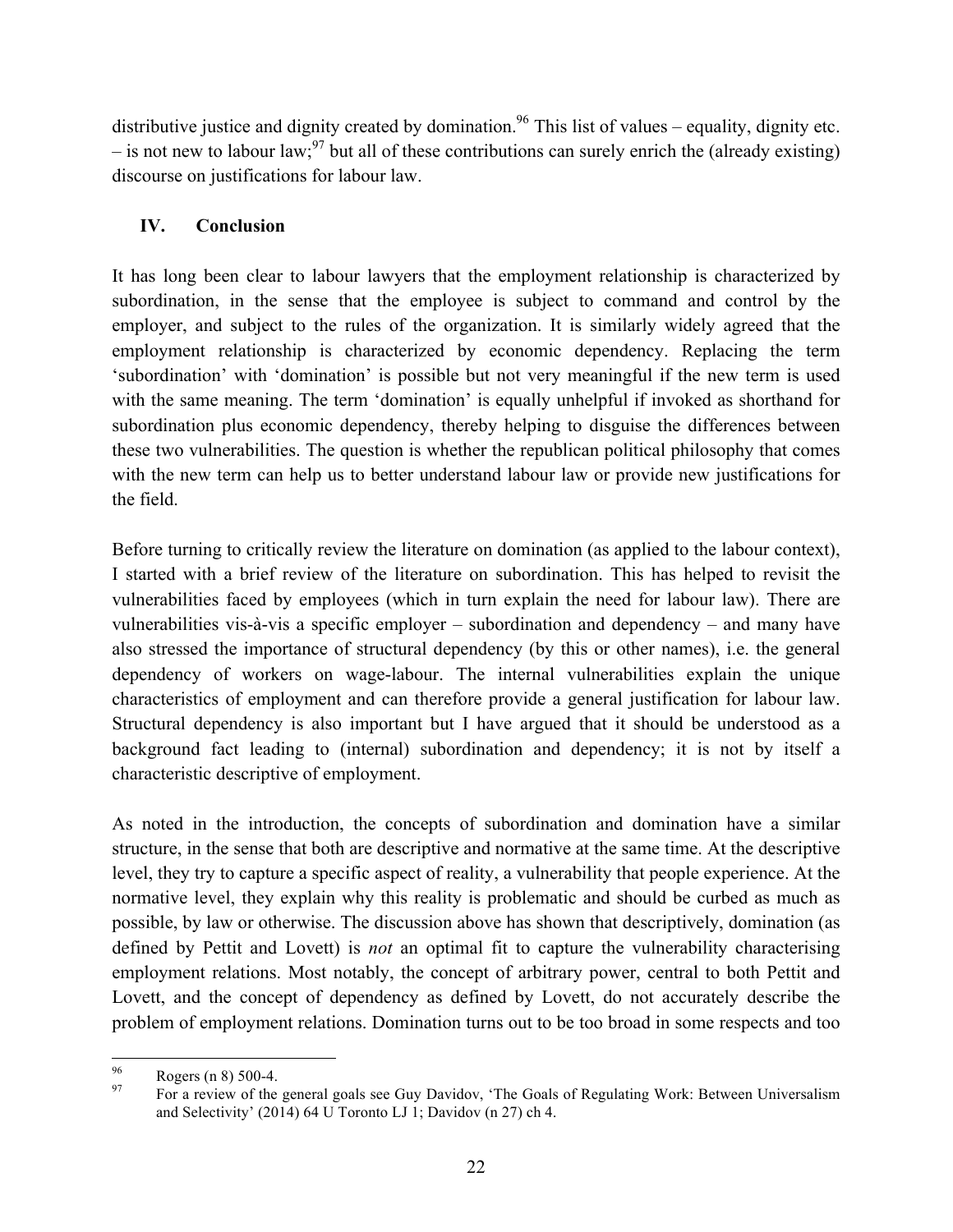distributive justice and dignity created by domination.<sup>96</sup> This list of values – equality, dignity etc.  $-$  is not new to labour law;<sup>97</sup> but all of these contributions can surely enrich the (already existing) discourse on justifications for labour law.

## **IV. Conclusion**

It has long been clear to labour lawyers that the employment relationship is characterized by subordination, in the sense that the employee is subject to command and control by the employer, and subject to the rules of the organization. It is similarly widely agreed that the employment relationship is characterized by economic dependency. Replacing the term 'subordination' with 'domination' is possible but not very meaningful if the new term is used with the same meaning. The term 'domination' is equally unhelpful if invoked as shorthand for subordination plus economic dependency, thereby helping to disguise the differences between these two vulnerabilities. The question is whether the republican political philosophy that comes with the new term can help us to better understand labour law or provide new justifications for the field.

Before turning to critically review the literature on domination (as applied to the labour context), I started with a brief review of the literature on subordination. This has helped to revisit the vulnerabilities faced by employees (which in turn explain the need for labour law). There are vulnerabilities vis-à-vis a specific employer – subordination and dependency – and many have also stressed the importance of structural dependency (by this or other names), i.e. the general dependency of workers on wage-labour. The internal vulnerabilities explain the unique characteristics of employment and can therefore provide a general justification for labour law. Structural dependency is also important but I have argued that it should be understood as a background fact leading to (internal) subordination and dependency; it is not by itself a characteristic descriptive of employment.

As noted in the introduction, the concepts of subordination and domination have a similar structure, in the sense that both are descriptive and normative at the same time. At the descriptive level, they try to capture a specific aspect of reality, a vulnerability that people experience. At the normative level, they explain why this reality is problematic and should be curbed as much as possible, by law or otherwise. The discussion above has shown that descriptively, domination (as defined by Pettit and Lovett) is *not* an optimal fit to capture the vulnerability characterising employment relations. Most notably, the concept of arbitrary power, central to both Pettit and Lovett, and the concept of dependency as defined by Lovett, do not accurately describe the problem of employment relations. Domination turns out to be too broad in some respects and too

Propers (n 8) 500-4.<br>
97 For a review of the general goals see Guy Davidov, 'The Goals of Regulating Work: Between Universalism and Selectivity' (2014) 64 U Toronto LJ 1; Davidov (n 27) ch 4.